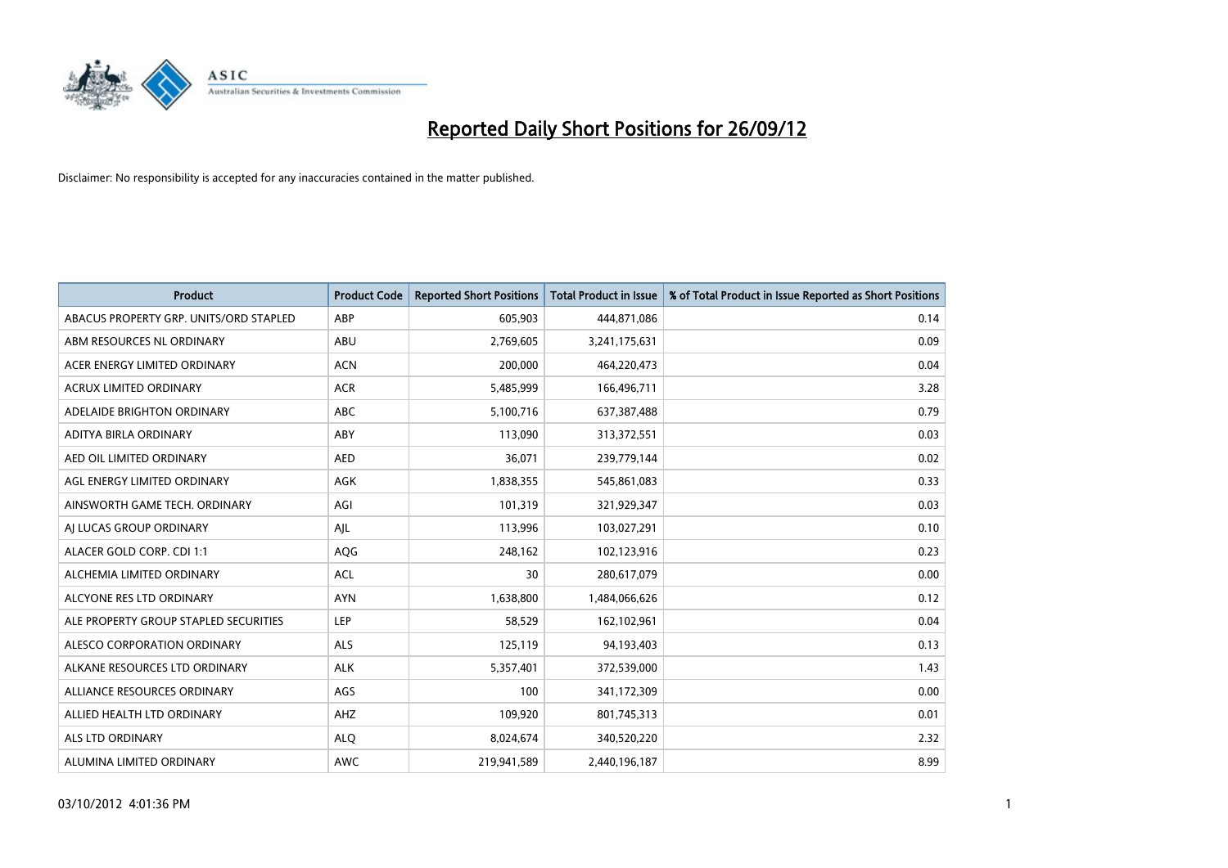

| <b>Product</b>                         | <b>Product Code</b> | <b>Reported Short Positions</b> | Total Product in Issue | % of Total Product in Issue Reported as Short Positions |
|----------------------------------------|---------------------|---------------------------------|------------------------|---------------------------------------------------------|
| ABACUS PROPERTY GRP. UNITS/ORD STAPLED | ABP                 | 605,903                         | 444,871,086            | 0.14                                                    |
| ABM RESOURCES NL ORDINARY              | ABU                 | 2,769,605                       | 3,241,175,631          | 0.09                                                    |
| ACER ENERGY LIMITED ORDINARY           | <b>ACN</b>          | 200,000                         | 464,220,473            | 0.04                                                    |
| ACRUX LIMITED ORDINARY                 | <b>ACR</b>          | 5,485,999                       | 166,496,711            | 3.28                                                    |
| ADELAIDE BRIGHTON ORDINARY             | <b>ABC</b>          | 5,100,716                       | 637,387,488            | 0.79                                                    |
| ADITYA BIRLA ORDINARY                  | ABY                 | 113,090                         | 313,372,551            | 0.03                                                    |
| AED OIL LIMITED ORDINARY               | <b>AED</b>          | 36,071                          | 239,779,144            | 0.02                                                    |
| AGL ENERGY LIMITED ORDINARY            | AGK                 | 1,838,355                       | 545,861,083            | 0.33                                                    |
| AINSWORTH GAME TECH. ORDINARY          | AGI                 | 101,319                         | 321,929,347            | 0.03                                                    |
| AI LUCAS GROUP ORDINARY                | AJL                 | 113,996                         | 103,027,291            | 0.10                                                    |
| ALACER GOLD CORP. CDI 1:1              | AQG                 | 248,162                         | 102,123,916            | 0.23                                                    |
| ALCHEMIA LIMITED ORDINARY              | <b>ACL</b>          | 30                              | 280,617,079            | 0.00                                                    |
| ALCYONE RES LTD ORDINARY               | <b>AYN</b>          | 1,638,800                       | 1,484,066,626          | 0.12                                                    |
| ALE PROPERTY GROUP STAPLED SECURITIES  | LEP                 | 58,529                          | 162,102,961            | 0.04                                                    |
| ALESCO CORPORATION ORDINARY            | <b>ALS</b>          | 125,119                         | 94,193,403             | 0.13                                                    |
| ALKANE RESOURCES LTD ORDINARY          | <b>ALK</b>          | 5,357,401                       | 372,539,000            | 1.43                                                    |
| ALLIANCE RESOURCES ORDINARY            | AGS                 | 100                             | 341,172,309            | 0.00                                                    |
| ALLIED HEALTH LTD ORDINARY             | AHZ                 | 109,920                         | 801,745,313            | 0.01                                                    |
| <b>ALS LTD ORDINARY</b>                | <b>ALO</b>          | 8,024,674                       | 340,520,220            | 2.32                                                    |
| ALUMINA LIMITED ORDINARY               | <b>AWC</b>          | 219,941,589                     | 2,440,196,187          | 8.99                                                    |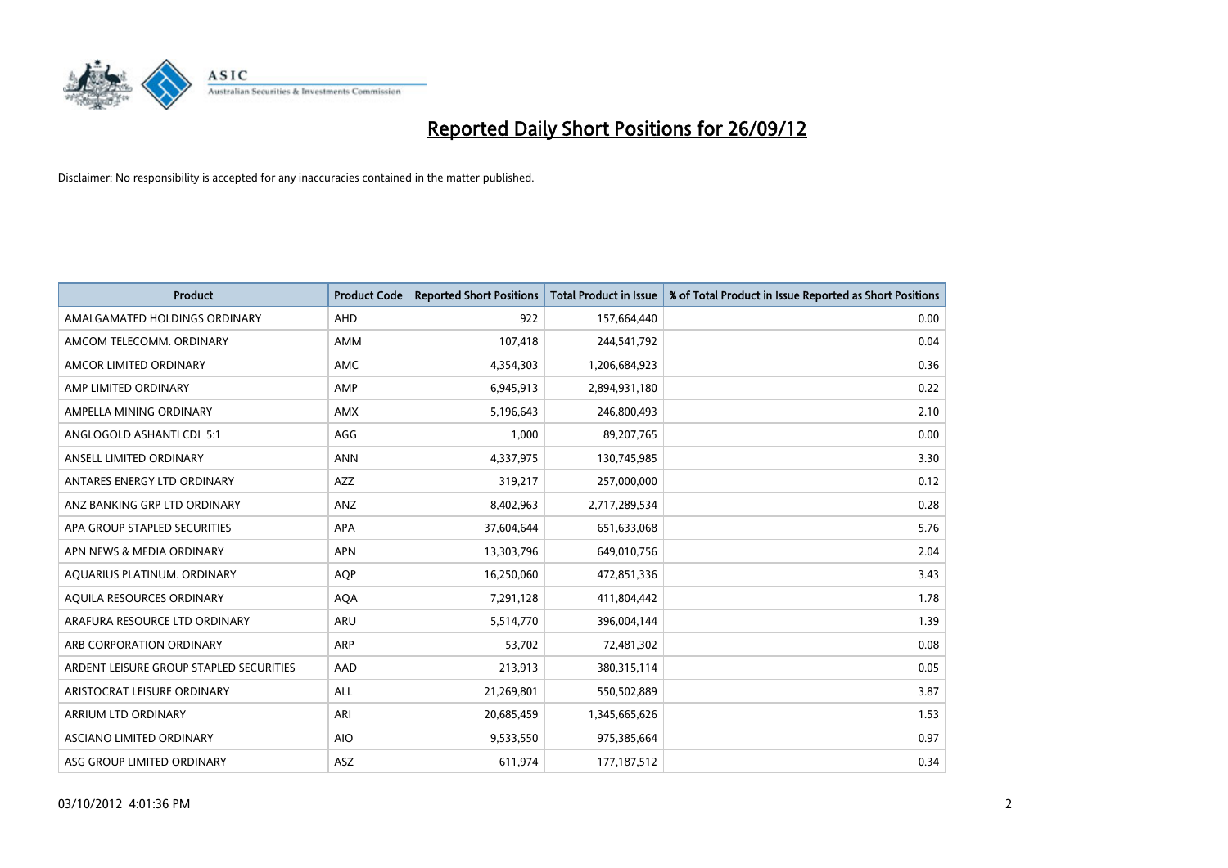

| <b>Product</b>                          | <b>Product Code</b> | <b>Reported Short Positions</b> | <b>Total Product in Issue</b> | % of Total Product in Issue Reported as Short Positions |
|-----------------------------------------|---------------------|---------------------------------|-------------------------------|---------------------------------------------------------|
| AMALGAMATED HOLDINGS ORDINARY           | AHD                 | 922                             | 157,664,440                   | 0.00                                                    |
| AMCOM TELECOMM. ORDINARY                | AMM                 | 107,418                         | 244,541,792                   | 0.04                                                    |
| AMCOR LIMITED ORDINARY                  | AMC                 | 4,354,303                       | 1,206,684,923                 | 0.36                                                    |
| AMP LIMITED ORDINARY                    | AMP                 | 6,945,913                       | 2,894,931,180                 | 0.22                                                    |
| AMPELLA MINING ORDINARY                 | <b>AMX</b>          | 5,196,643                       | 246,800,493                   | 2.10                                                    |
| ANGLOGOLD ASHANTI CDI 5:1               | AGG                 | 1,000                           | 89,207,765                    | 0.00                                                    |
| ANSELL LIMITED ORDINARY                 | <b>ANN</b>          | 4,337,975                       | 130,745,985                   | 3.30                                                    |
| ANTARES ENERGY LTD ORDINARY             | <b>AZZ</b>          | 319,217                         | 257,000,000                   | 0.12                                                    |
| ANZ BANKING GRP LTD ORDINARY            | ANZ                 | 8,402,963                       | 2,717,289,534                 | 0.28                                                    |
| APA GROUP STAPLED SECURITIES            | <b>APA</b>          | 37,604,644                      | 651,633,068                   | 5.76                                                    |
| APN NEWS & MEDIA ORDINARY               | <b>APN</b>          | 13,303,796                      | 649,010,756                   | 2.04                                                    |
| AQUARIUS PLATINUM. ORDINARY             | <b>AQP</b>          | 16,250,060                      | 472,851,336                   | 3.43                                                    |
| AQUILA RESOURCES ORDINARY               | <b>AQA</b>          | 7,291,128                       | 411,804,442                   | 1.78                                                    |
| ARAFURA RESOURCE LTD ORDINARY           | ARU                 | 5,514,770                       | 396,004,144                   | 1.39                                                    |
| ARB CORPORATION ORDINARY                | <b>ARP</b>          | 53,702                          | 72,481,302                    | 0.08                                                    |
| ARDENT LEISURE GROUP STAPLED SECURITIES | AAD                 | 213,913                         | 380, 315, 114                 | 0.05                                                    |
| ARISTOCRAT LEISURE ORDINARY             | ALL                 | 21,269,801                      | 550,502,889                   | 3.87                                                    |
| ARRIUM LTD ORDINARY                     | ARI                 | 20,685,459                      | 1,345,665,626                 | 1.53                                                    |
| ASCIANO LIMITED ORDINARY                | <b>AIO</b>          | 9,533,550                       | 975,385,664                   | 0.97                                                    |
| ASG GROUP LIMITED ORDINARY              | ASZ                 | 611,974                         | 177, 187, 512                 | 0.34                                                    |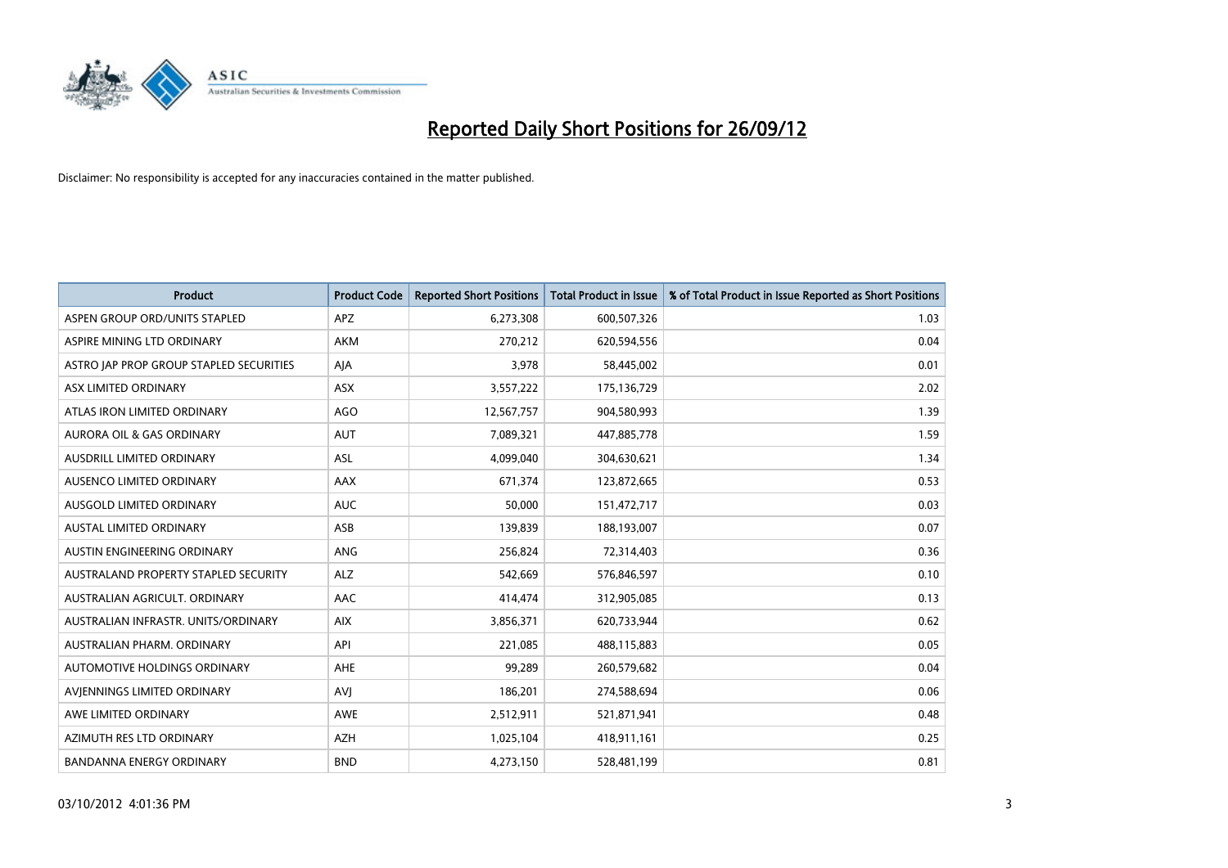

| <b>Product</b>                          | <b>Product Code</b> | <b>Reported Short Positions</b> | <b>Total Product in Issue</b> | % of Total Product in Issue Reported as Short Positions |
|-----------------------------------------|---------------------|---------------------------------|-------------------------------|---------------------------------------------------------|
| ASPEN GROUP ORD/UNITS STAPLED           | <b>APZ</b>          | 6,273,308                       | 600,507,326                   | 1.03                                                    |
| ASPIRE MINING LTD ORDINARY              | AKM                 | 270,212                         | 620,594,556                   | 0.04                                                    |
| ASTRO JAP PROP GROUP STAPLED SECURITIES | AJA                 | 3,978                           | 58,445,002                    | 0.01                                                    |
| ASX LIMITED ORDINARY                    | ASX                 | 3,557,222                       | 175,136,729                   | 2.02                                                    |
| ATLAS IRON LIMITED ORDINARY             | <b>AGO</b>          | 12,567,757                      | 904,580,993                   | 1.39                                                    |
| <b>AURORA OIL &amp; GAS ORDINARY</b>    | <b>AUT</b>          | 7,089,321                       | 447,885,778                   | 1.59                                                    |
| AUSDRILL LIMITED ORDINARY               | ASL                 | 4,099,040                       | 304,630,621                   | 1.34                                                    |
| AUSENCO LIMITED ORDINARY                | AAX                 | 671,374                         | 123,872,665                   | 0.53                                                    |
| AUSGOLD LIMITED ORDINARY                | <b>AUC</b>          | 50,000                          | 151,472,717                   | 0.03                                                    |
| <b>AUSTAL LIMITED ORDINARY</b>          | ASB                 | 139,839                         | 188,193,007                   | 0.07                                                    |
| AUSTIN ENGINEERING ORDINARY             | ANG                 | 256,824                         | 72,314,403                    | 0.36                                                    |
| AUSTRALAND PROPERTY STAPLED SECURITY    | <b>ALZ</b>          | 542,669                         | 576,846,597                   | 0.10                                                    |
| AUSTRALIAN AGRICULT. ORDINARY           | AAC                 | 414,474                         | 312,905,085                   | 0.13                                                    |
| AUSTRALIAN INFRASTR, UNITS/ORDINARY     | <b>AIX</b>          | 3,856,371                       | 620,733,944                   | 0.62                                                    |
| AUSTRALIAN PHARM, ORDINARY              | API                 | 221,085                         | 488,115,883                   | 0.05                                                    |
| AUTOMOTIVE HOLDINGS ORDINARY            | AHE                 | 99,289                          | 260,579,682                   | 0.04                                                    |
| AVIENNINGS LIMITED ORDINARY             | <b>AVJ</b>          | 186,201                         | 274,588,694                   | 0.06                                                    |
| AWE LIMITED ORDINARY                    | <b>AWE</b>          | 2,512,911                       | 521,871,941                   | 0.48                                                    |
| AZIMUTH RES LTD ORDINARY                | <b>AZH</b>          | 1,025,104                       | 418,911,161                   | 0.25                                                    |
| BANDANNA ENERGY ORDINARY                | <b>BND</b>          | 4,273,150                       | 528,481,199                   | 0.81                                                    |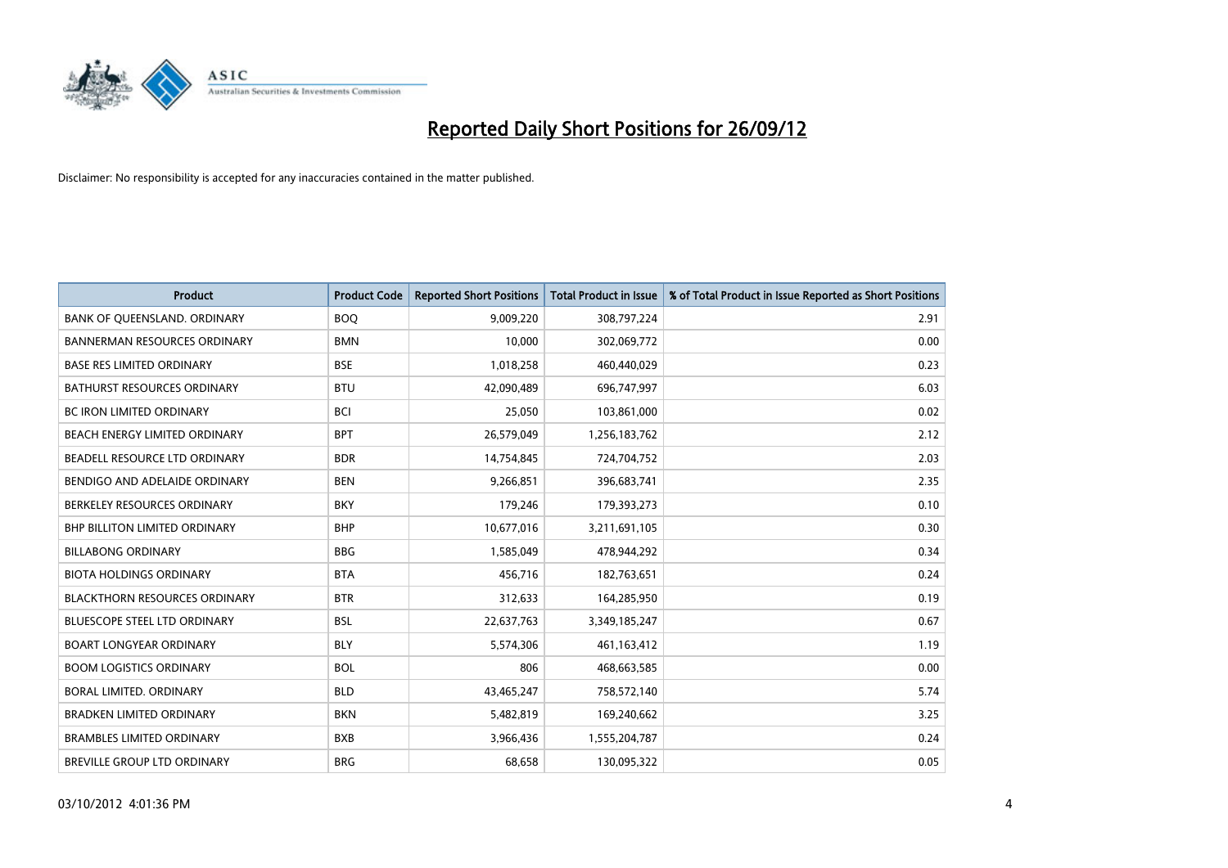

| <b>Product</b>                       | <b>Product Code</b> | <b>Reported Short Positions</b> | <b>Total Product in Issue</b> | % of Total Product in Issue Reported as Short Positions |
|--------------------------------------|---------------------|---------------------------------|-------------------------------|---------------------------------------------------------|
| BANK OF QUEENSLAND. ORDINARY         | <b>BOQ</b>          | 9,009,220                       | 308,797,224                   | 2.91                                                    |
| BANNERMAN RESOURCES ORDINARY         | <b>BMN</b>          | 10,000                          | 302,069,772                   | 0.00                                                    |
| <b>BASE RES LIMITED ORDINARY</b>     | <b>BSE</b>          | 1,018,258                       | 460,440,029                   | 0.23                                                    |
| BATHURST RESOURCES ORDINARY          | <b>BTU</b>          | 42,090,489                      | 696,747,997                   | 6.03                                                    |
| <b>BC IRON LIMITED ORDINARY</b>      | <b>BCI</b>          | 25,050                          | 103,861,000                   | 0.02                                                    |
| BEACH ENERGY LIMITED ORDINARY        | <b>BPT</b>          | 26,579,049                      | 1,256,183,762                 | 2.12                                                    |
| BEADELL RESOURCE LTD ORDINARY        | <b>BDR</b>          | 14,754,845                      | 724,704,752                   | 2.03                                                    |
| BENDIGO AND ADELAIDE ORDINARY        | <b>BEN</b>          | 9,266,851                       | 396,683,741                   | 2.35                                                    |
| BERKELEY RESOURCES ORDINARY          | <b>BKY</b>          | 179,246                         | 179,393,273                   | 0.10                                                    |
| <b>BHP BILLITON LIMITED ORDINARY</b> | <b>BHP</b>          | 10,677,016                      | 3,211,691,105                 | 0.30                                                    |
| <b>BILLABONG ORDINARY</b>            | <b>BBG</b>          | 1,585,049                       | 478,944,292                   | 0.34                                                    |
| <b>BIOTA HOLDINGS ORDINARY</b>       | <b>BTA</b>          | 456,716                         | 182,763,651                   | 0.24                                                    |
| <b>BLACKTHORN RESOURCES ORDINARY</b> | <b>BTR</b>          | 312,633                         | 164,285,950                   | 0.19                                                    |
| <b>BLUESCOPE STEEL LTD ORDINARY</b>  | <b>BSL</b>          | 22,637,763                      | 3,349,185,247                 | 0.67                                                    |
| <b>BOART LONGYEAR ORDINARY</b>       | <b>BLY</b>          | 5,574,306                       | 461,163,412                   | 1.19                                                    |
| <b>BOOM LOGISTICS ORDINARY</b>       | <b>BOL</b>          | 806                             | 468,663,585                   | 0.00                                                    |
| BORAL LIMITED. ORDINARY              | <b>BLD</b>          | 43,465,247                      | 758,572,140                   | 5.74                                                    |
| <b>BRADKEN LIMITED ORDINARY</b>      | <b>BKN</b>          | 5,482,819                       | 169,240,662                   | 3.25                                                    |
| <b>BRAMBLES LIMITED ORDINARY</b>     | <b>BXB</b>          | 3,966,436                       | 1,555,204,787                 | 0.24                                                    |
| BREVILLE GROUP LTD ORDINARY          | <b>BRG</b>          | 68,658                          | 130,095,322                   | 0.05                                                    |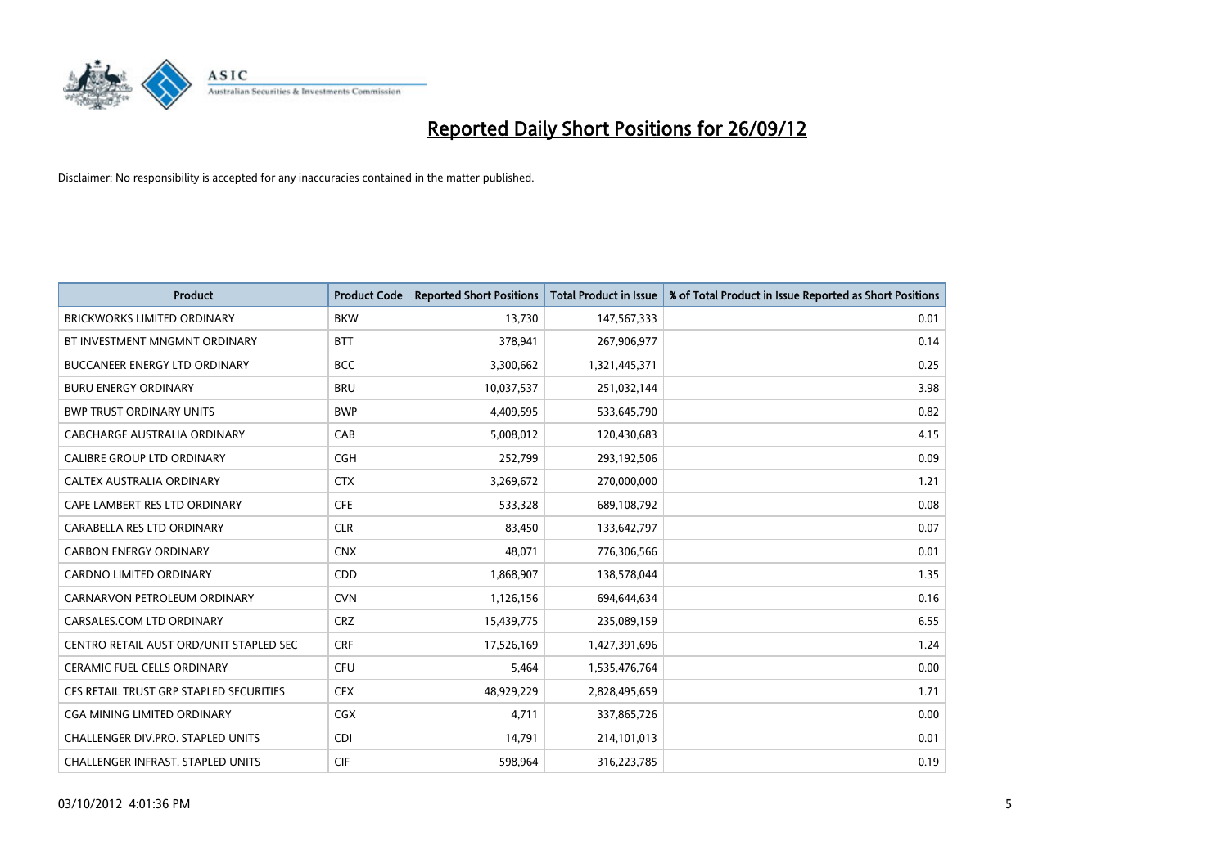

| <b>Product</b>                           | <b>Product Code</b> | <b>Reported Short Positions</b> | <b>Total Product in Issue</b> | % of Total Product in Issue Reported as Short Positions |
|------------------------------------------|---------------------|---------------------------------|-------------------------------|---------------------------------------------------------|
| <b>BRICKWORKS LIMITED ORDINARY</b>       | <b>BKW</b>          | 13,730                          | 147,567,333                   | 0.01                                                    |
| BT INVESTMENT MNGMNT ORDINARY            | <b>BTT</b>          | 378,941                         | 267,906,977                   | 0.14                                                    |
| <b>BUCCANEER ENERGY LTD ORDINARY</b>     | <b>BCC</b>          | 3,300,662                       | 1,321,445,371                 | 0.25                                                    |
| <b>BURU ENERGY ORDINARY</b>              | <b>BRU</b>          | 10,037,537                      | 251,032,144                   | 3.98                                                    |
| <b>BWP TRUST ORDINARY UNITS</b>          | <b>BWP</b>          | 4,409,595                       | 533,645,790                   | 0.82                                                    |
| CABCHARGE AUSTRALIA ORDINARY             | CAB                 | 5,008,012                       | 120,430,683                   | 4.15                                                    |
| <b>CALIBRE GROUP LTD ORDINARY</b>        | <b>CGH</b>          | 252,799                         | 293,192,506                   | 0.09                                                    |
| CALTEX AUSTRALIA ORDINARY                | <b>CTX</b>          | 3,269,672                       | 270,000,000                   | 1.21                                                    |
| CAPE LAMBERT RES LTD ORDINARY            | <b>CFE</b>          | 533,328                         | 689,108,792                   | 0.08                                                    |
| CARABELLA RES LTD ORDINARY               | <b>CLR</b>          | 83,450                          | 133,642,797                   | 0.07                                                    |
| <b>CARBON ENERGY ORDINARY</b>            | <b>CNX</b>          | 48,071                          | 776,306,566                   | 0.01                                                    |
| CARDNO LIMITED ORDINARY                  | <b>CDD</b>          | 1,868,907                       | 138,578,044                   | 1.35                                                    |
| CARNARVON PETROLEUM ORDINARY             | <b>CVN</b>          | 1,126,156                       | 694,644,634                   | 0.16                                                    |
| CARSALES.COM LTD ORDINARY                | <b>CRZ</b>          | 15,439,775                      | 235,089,159                   | 6.55                                                    |
| CENTRO RETAIL AUST ORD/UNIT STAPLED SEC  | <b>CRF</b>          | 17,526,169                      | 1,427,391,696                 | 1.24                                                    |
| <b>CERAMIC FUEL CELLS ORDINARY</b>       | <b>CFU</b>          | 5,464                           | 1,535,476,764                 | 0.00                                                    |
| CFS RETAIL TRUST GRP STAPLED SECURITIES  | <b>CFX</b>          | 48,929,229                      | 2,828,495,659                 | 1.71                                                    |
| CGA MINING LIMITED ORDINARY              | <b>CGX</b>          | 4,711                           | 337,865,726                   | 0.00                                                    |
| CHALLENGER DIV.PRO. STAPLED UNITS        | <b>CDI</b>          | 14,791                          | 214,101,013                   | 0.01                                                    |
| <b>CHALLENGER INFRAST. STAPLED UNITS</b> | <b>CIF</b>          | 598,964                         | 316,223,785                   | 0.19                                                    |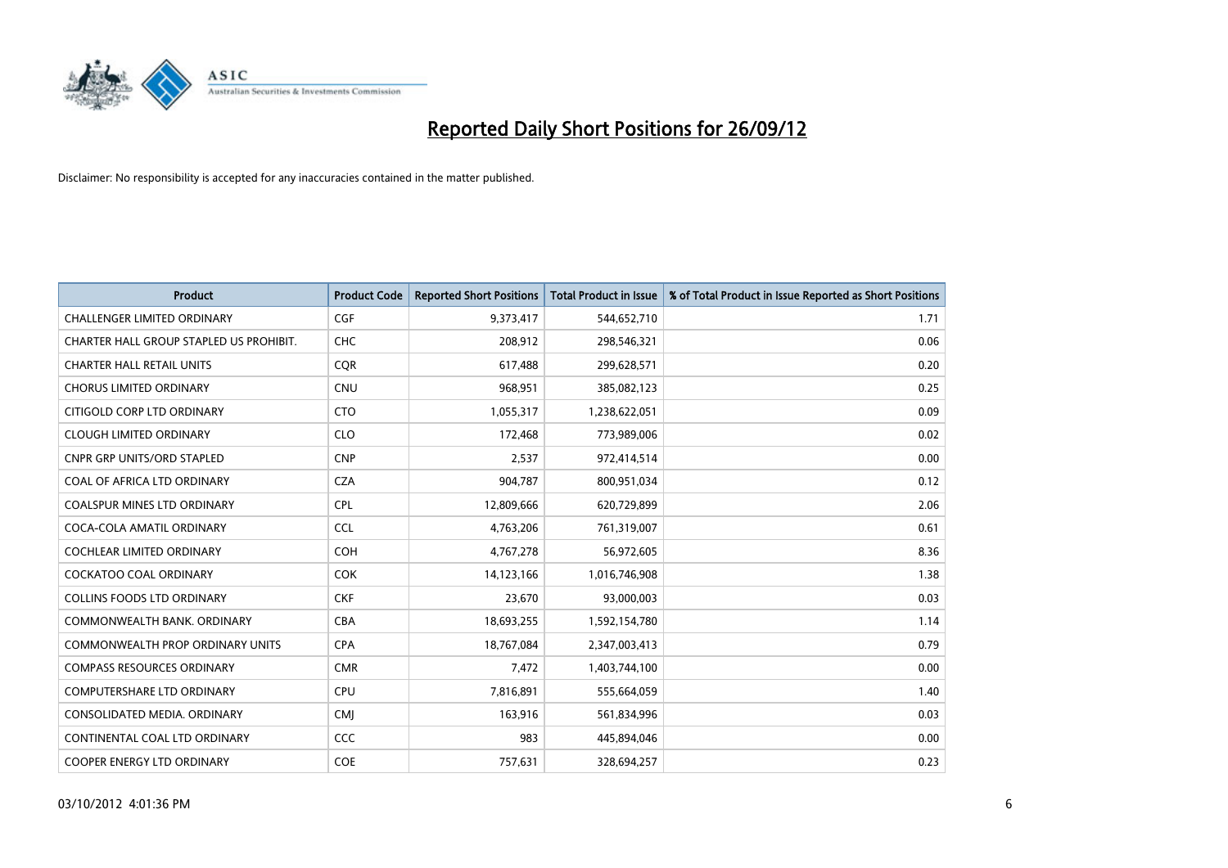

| <b>Product</b>                          | <b>Product Code</b> | <b>Reported Short Positions</b> | <b>Total Product in Issue</b> | % of Total Product in Issue Reported as Short Positions |
|-----------------------------------------|---------------------|---------------------------------|-------------------------------|---------------------------------------------------------|
| <b>CHALLENGER LIMITED ORDINARY</b>      | <b>CGF</b>          | 9,373,417                       | 544,652,710                   | 1.71                                                    |
| CHARTER HALL GROUP STAPLED US PROHIBIT. | <b>CHC</b>          | 208,912                         | 298,546,321                   | 0.06                                                    |
| <b>CHARTER HALL RETAIL UNITS</b>        | <b>COR</b>          | 617,488                         | 299,628,571                   | 0.20                                                    |
| <b>CHORUS LIMITED ORDINARY</b>          | <b>CNU</b>          | 968,951                         | 385,082,123                   | 0.25                                                    |
| CITIGOLD CORP LTD ORDINARY              | <b>CTO</b>          | 1,055,317                       | 1,238,622,051                 | 0.09                                                    |
| <b>CLOUGH LIMITED ORDINARY</b>          | <b>CLO</b>          | 172,468                         | 773,989,006                   | 0.02                                                    |
| CNPR GRP UNITS/ORD STAPLED              | <b>CNP</b>          | 2,537                           | 972,414,514                   | 0.00                                                    |
| COAL OF AFRICA LTD ORDINARY             | <b>CZA</b>          | 904,787                         | 800,951,034                   | 0.12                                                    |
| <b>COALSPUR MINES LTD ORDINARY</b>      | <b>CPL</b>          | 12,809,666                      | 620,729,899                   | 2.06                                                    |
| COCA-COLA AMATIL ORDINARY               | <b>CCL</b>          | 4,763,206                       | 761,319,007                   | 0.61                                                    |
| COCHLEAR LIMITED ORDINARY               | <b>COH</b>          | 4,767,278                       | 56,972,605                    | 8.36                                                    |
| COCKATOO COAL ORDINARY                  | <b>COK</b>          | 14,123,166                      | 1,016,746,908                 | 1.38                                                    |
| <b>COLLINS FOODS LTD ORDINARY</b>       | <b>CKF</b>          | 23,670                          | 93,000,003                    | 0.03                                                    |
| COMMONWEALTH BANK, ORDINARY             | <b>CBA</b>          | 18,693,255                      | 1,592,154,780                 | 1.14                                                    |
| <b>COMMONWEALTH PROP ORDINARY UNITS</b> | <b>CPA</b>          | 18,767,084                      | 2,347,003,413                 | 0.79                                                    |
| <b>COMPASS RESOURCES ORDINARY</b>       | <b>CMR</b>          | 7,472                           | 1,403,744,100                 | 0.00                                                    |
| COMPUTERSHARE LTD ORDINARY              | <b>CPU</b>          | 7,816,891                       | 555,664,059                   | 1.40                                                    |
| CONSOLIDATED MEDIA, ORDINARY            | <b>CMI</b>          | 163,916                         | 561,834,996                   | 0.03                                                    |
| CONTINENTAL COAL LTD ORDINARY           | CCC                 | 983                             | 445,894,046                   | 0.00                                                    |
| <b>COOPER ENERGY LTD ORDINARY</b>       | <b>COE</b>          | 757,631                         | 328,694,257                   | 0.23                                                    |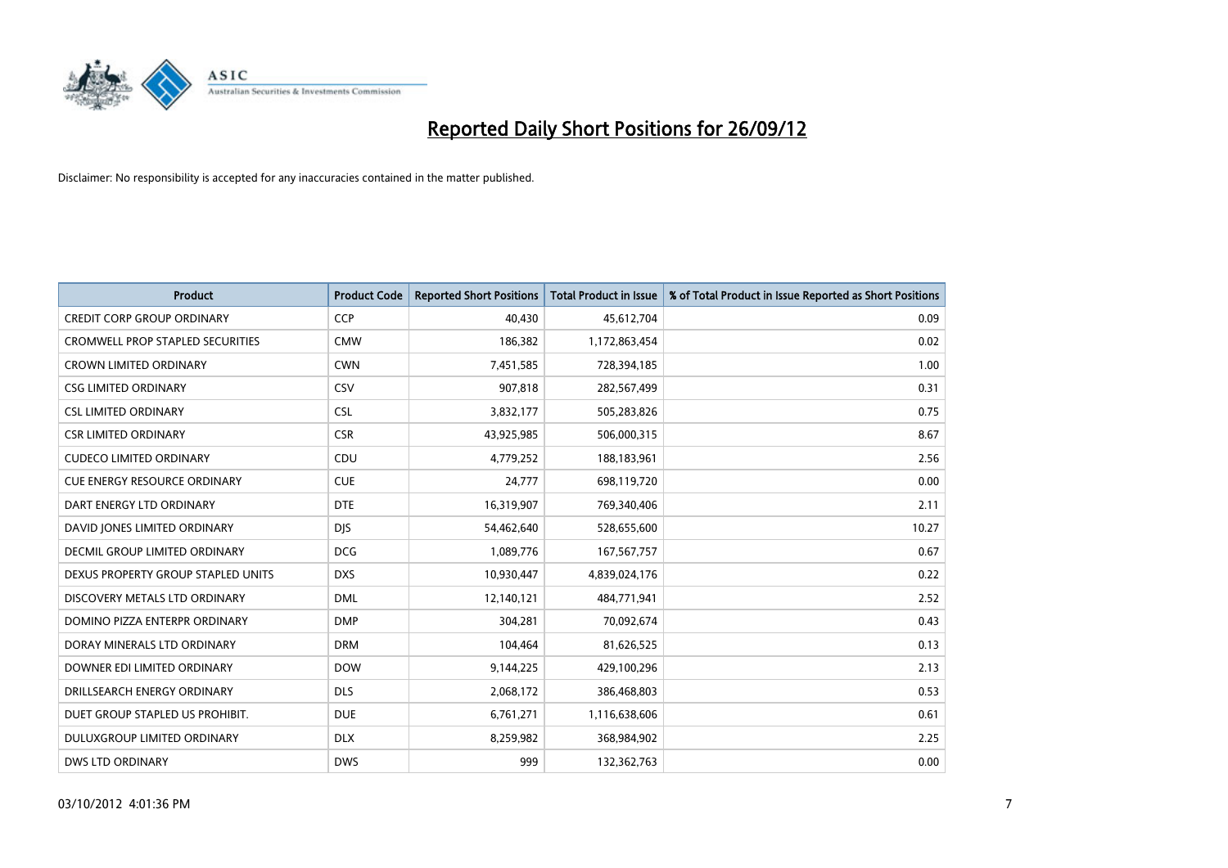

| <b>Product</b>                      | <b>Product Code</b> | <b>Reported Short Positions</b> | <b>Total Product in Issue</b> | % of Total Product in Issue Reported as Short Positions |
|-------------------------------------|---------------------|---------------------------------|-------------------------------|---------------------------------------------------------|
| <b>CREDIT CORP GROUP ORDINARY</b>   | <b>CCP</b>          | 40,430                          | 45,612,704                    | 0.09                                                    |
| CROMWELL PROP STAPLED SECURITIES    | <b>CMW</b>          | 186,382                         | 1,172,863,454                 | 0.02                                                    |
| <b>CROWN LIMITED ORDINARY</b>       | <b>CWN</b>          | 7,451,585                       | 728,394,185                   | 1.00                                                    |
| <b>CSG LIMITED ORDINARY</b>         | CSV                 | 907,818                         | 282,567,499                   | 0.31                                                    |
| <b>CSL LIMITED ORDINARY</b>         | <b>CSL</b>          | 3,832,177                       | 505,283,826                   | 0.75                                                    |
| <b>CSR LIMITED ORDINARY</b>         | <b>CSR</b>          | 43,925,985                      | 506,000,315                   | 8.67                                                    |
| <b>CUDECO LIMITED ORDINARY</b>      | <b>CDU</b>          | 4,779,252                       | 188,183,961                   | 2.56                                                    |
| <b>CUE ENERGY RESOURCE ORDINARY</b> | <b>CUE</b>          | 24,777                          | 698,119,720                   | 0.00                                                    |
| DART ENERGY LTD ORDINARY            | <b>DTE</b>          | 16,319,907                      | 769,340,406                   | 2.11                                                    |
| DAVID JONES LIMITED ORDINARY        | <b>DIS</b>          | 54,462,640                      | 528,655,600                   | 10.27                                                   |
| DECMIL GROUP LIMITED ORDINARY       | <b>DCG</b>          | 1,089,776                       | 167,567,757                   | 0.67                                                    |
| DEXUS PROPERTY GROUP STAPLED UNITS  | <b>DXS</b>          | 10,930,447                      | 4,839,024,176                 | 0.22                                                    |
| DISCOVERY METALS LTD ORDINARY       | <b>DML</b>          | 12,140,121                      | 484,771,941                   | 2.52                                                    |
| DOMINO PIZZA ENTERPR ORDINARY       | <b>DMP</b>          | 304,281                         | 70,092,674                    | 0.43                                                    |
| DORAY MINERALS LTD ORDINARY         | <b>DRM</b>          | 104,464                         | 81,626,525                    | 0.13                                                    |
| DOWNER EDI LIMITED ORDINARY         | <b>DOW</b>          | 9,144,225                       | 429,100,296                   | 2.13                                                    |
| DRILLSEARCH ENERGY ORDINARY         | <b>DLS</b>          | 2,068,172                       | 386,468,803                   | 0.53                                                    |
| DUET GROUP STAPLED US PROHIBIT.     | <b>DUE</b>          | 6,761,271                       | 1,116,638,606                 | 0.61                                                    |
| DULUXGROUP LIMITED ORDINARY         | <b>DLX</b>          | 8,259,982                       | 368,984,902                   | 2.25                                                    |
| <b>DWS LTD ORDINARY</b>             | <b>DWS</b>          | 999                             | 132,362,763                   | 0.00                                                    |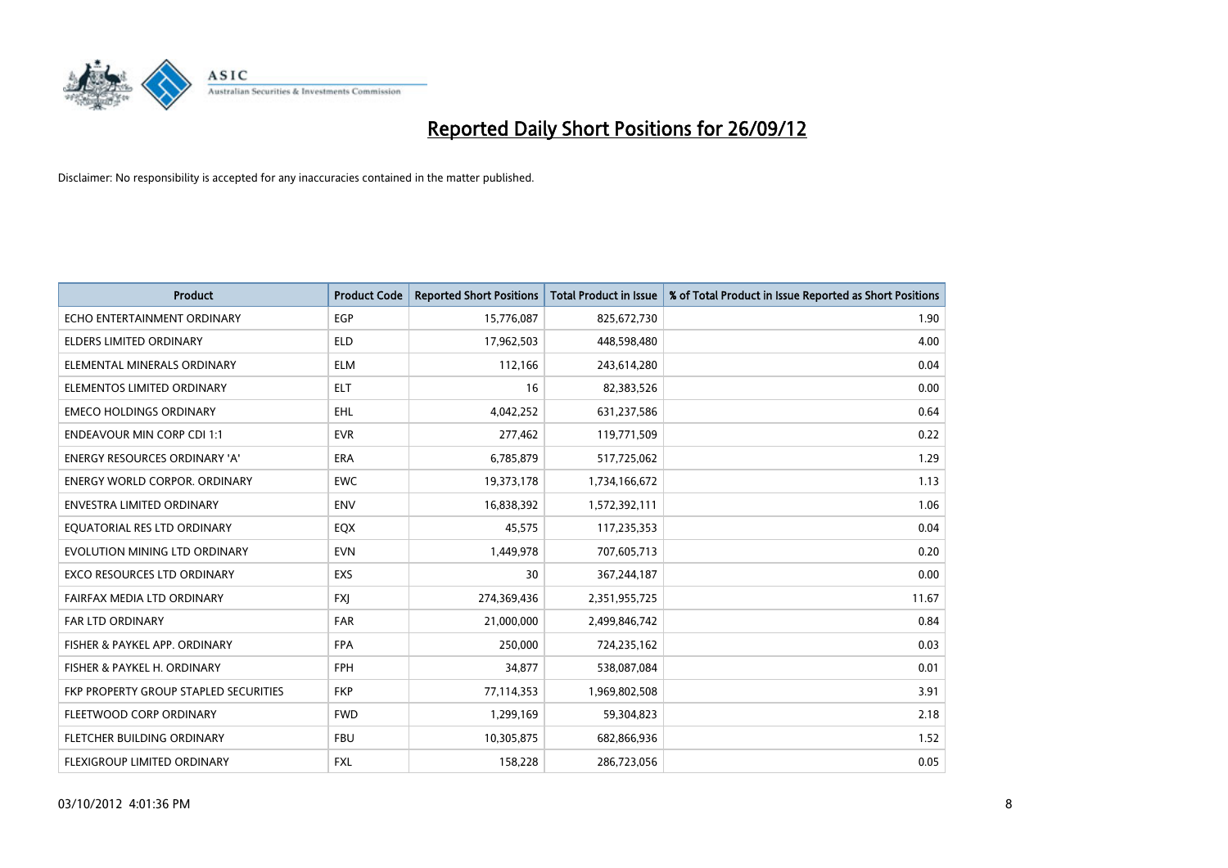

| <b>Product</b>                        | <b>Product Code</b> | <b>Reported Short Positions</b> | <b>Total Product in Issue</b> | % of Total Product in Issue Reported as Short Positions |
|---------------------------------------|---------------------|---------------------------------|-------------------------------|---------------------------------------------------------|
| ECHO ENTERTAINMENT ORDINARY           | <b>EGP</b>          | 15,776,087                      | 825,672,730                   | 1.90                                                    |
| ELDERS LIMITED ORDINARY               | <b>ELD</b>          | 17,962,503                      | 448,598,480                   | 4.00                                                    |
| ELEMENTAL MINERALS ORDINARY           | <b>ELM</b>          | 112,166                         | 243,614,280                   | 0.04                                                    |
| ELEMENTOS LIMITED ORDINARY            | <b>ELT</b>          | 16                              | 82,383,526                    | 0.00                                                    |
| <b>EMECO HOLDINGS ORDINARY</b>        | <b>EHL</b>          | 4,042,252                       | 631,237,586                   | 0.64                                                    |
| <b>ENDEAVOUR MIN CORP CDI 1:1</b>     | <b>EVR</b>          | 277,462                         | 119,771,509                   | 0.22                                                    |
| ENERGY RESOURCES ORDINARY 'A'         | <b>ERA</b>          | 6,785,879                       | 517,725,062                   | 1.29                                                    |
| ENERGY WORLD CORPOR. ORDINARY         | <b>EWC</b>          | 19,373,178                      | 1,734,166,672                 | 1.13                                                    |
| <b>ENVESTRA LIMITED ORDINARY</b>      | <b>ENV</b>          | 16,838,392                      | 1,572,392,111                 | 1.06                                                    |
| EQUATORIAL RES LTD ORDINARY           | EQX                 | 45,575                          | 117,235,353                   | 0.04                                                    |
| EVOLUTION MINING LTD ORDINARY         | <b>EVN</b>          | 1,449,978                       | 707,605,713                   | 0.20                                                    |
| <b>EXCO RESOURCES LTD ORDINARY</b>    | EXS                 | 30                              | 367,244,187                   | 0.00                                                    |
| FAIRFAX MEDIA LTD ORDINARY            | <b>FXI</b>          | 274,369,436                     | 2,351,955,725                 | 11.67                                                   |
| <b>FAR LTD ORDINARY</b>               | <b>FAR</b>          | 21,000,000                      | 2,499,846,742                 | 0.84                                                    |
| FISHER & PAYKEL APP. ORDINARY         | <b>FPA</b>          | 250,000                         | 724,235,162                   | 0.03                                                    |
| FISHER & PAYKEL H. ORDINARY           | <b>FPH</b>          | 34,877                          | 538,087,084                   | 0.01                                                    |
| FKP PROPERTY GROUP STAPLED SECURITIES | <b>FKP</b>          | 77,114,353                      | 1,969,802,508                 | 3.91                                                    |
| FLEETWOOD CORP ORDINARY               | <b>FWD</b>          | 1,299,169                       | 59,304,823                    | 2.18                                                    |
| FLETCHER BUILDING ORDINARY            | <b>FBU</b>          | 10,305,875                      | 682,866,936                   | 1.52                                                    |
| FLEXIGROUP LIMITED ORDINARY           | <b>FXL</b>          | 158,228                         | 286,723,056                   | 0.05                                                    |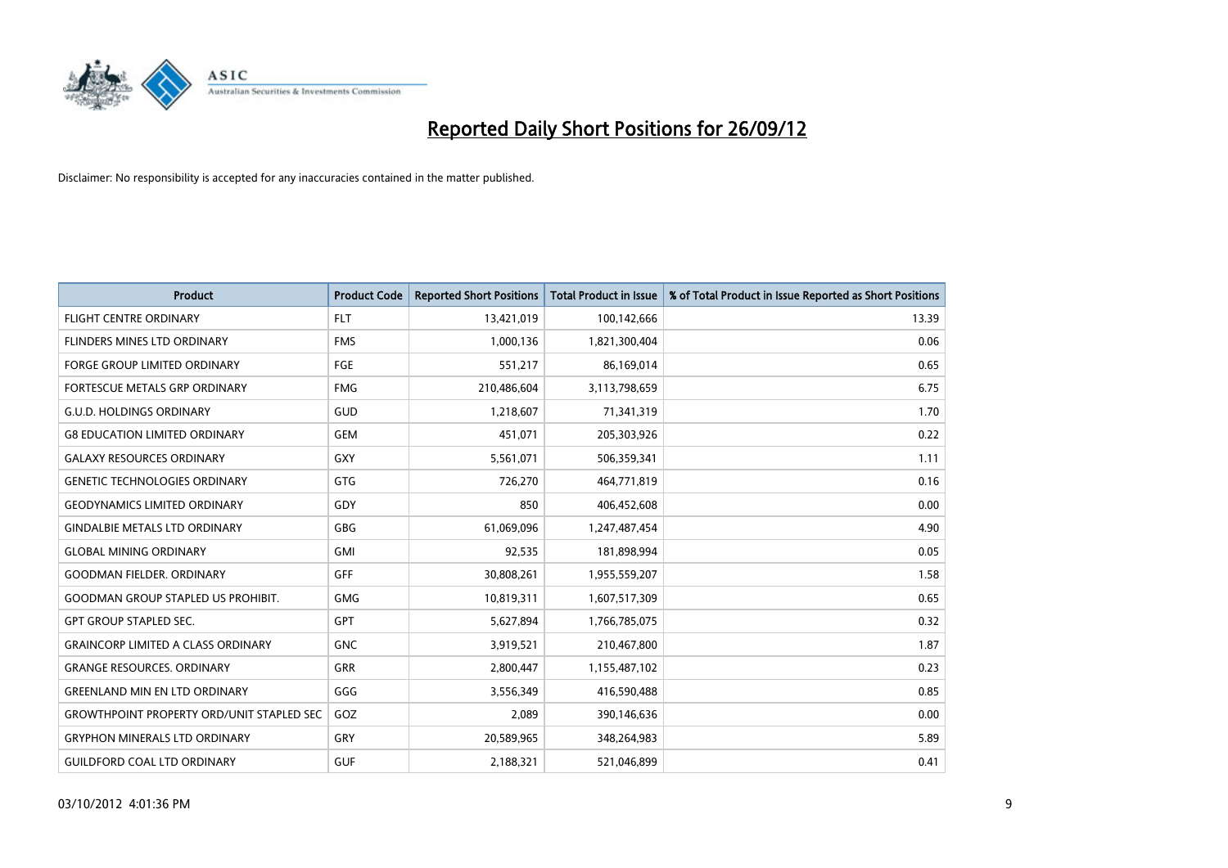

| <b>Product</b>                                   | <b>Product Code</b> | <b>Reported Short Positions</b> | <b>Total Product in Issue</b> | % of Total Product in Issue Reported as Short Positions |
|--------------------------------------------------|---------------------|---------------------------------|-------------------------------|---------------------------------------------------------|
| <b>FLIGHT CENTRE ORDINARY</b>                    | <b>FLT</b>          | 13,421,019                      | 100,142,666                   | 13.39                                                   |
| <b>FLINDERS MINES LTD ORDINARY</b>               | <b>FMS</b>          | 1,000,136                       | 1,821,300,404                 | 0.06                                                    |
| <b>FORGE GROUP LIMITED ORDINARY</b>              | FGE                 | 551,217                         | 86,169,014                    | 0.65                                                    |
| FORTESCUE METALS GRP ORDINARY                    | <b>FMG</b>          | 210,486,604                     | 3,113,798,659                 | 6.75                                                    |
| <b>G.U.D. HOLDINGS ORDINARY</b>                  | GUD                 | 1,218,607                       | 71,341,319                    | 1.70                                                    |
| <b>G8 EDUCATION LIMITED ORDINARY</b>             | <b>GEM</b>          | 451,071                         | 205,303,926                   | 0.22                                                    |
| <b>GALAXY RESOURCES ORDINARY</b>                 | <b>GXY</b>          | 5,561,071                       | 506,359,341                   | 1.11                                                    |
| <b>GENETIC TECHNOLOGIES ORDINARY</b>             | GTG                 | 726,270                         | 464,771,819                   | 0.16                                                    |
| <b>GEODYNAMICS LIMITED ORDINARY</b>              | GDY                 | 850                             | 406,452,608                   | 0.00                                                    |
| <b>GINDALBIE METALS LTD ORDINARY</b>             | GBG                 | 61,069,096                      | 1,247,487,454                 | 4.90                                                    |
| <b>GLOBAL MINING ORDINARY</b>                    | GMI                 | 92,535                          | 181,898,994                   | 0.05                                                    |
| <b>GOODMAN FIELDER, ORDINARY</b>                 | <b>GFF</b>          | 30,808,261                      | 1,955,559,207                 | 1.58                                                    |
| <b>GOODMAN GROUP STAPLED US PROHIBIT.</b>        | <b>GMG</b>          | 10,819,311                      | 1,607,517,309                 | 0.65                                                    |
| <b>GPT GROUP STAPLED SEC.</b>                    | <b>GPT</b>          | 5,627,894                       | 1,766,785,075                 | 0.32                                                    |
| <b>GRAINCORP LIMITED A CLASS ORDINARY</b>        | <b>GNC</b>          | 3,919,521                       | 210,467,800                   | 1.87                                                    |
| <b>GRANGE RESOURCES, ORDINARY</b>                | GRR                 | 2,800,447                       | 1,155,487,102                 | 0.23                                                    |
| <b>GREENLAND MIN EN LTD ORDINARY</b>             | GGG                 | 3,556,349                       | 416,590,488                   | 0.85                                                    |
| <b>GROWTHPOINT PROPERTY ORD/UNIT STAPLED SEC</b> | GOZ                 | 2,089                           | 390,146,636                   | 0.00                                                    |
| <b>GRYPHON MINERALS LTD ORDINARY</b>             | GRY                 | 20,589,965                      | 348,264,983                   | 5.89                                                    |
| <b>GUILDFORD COAL LTD ORDINARY</b>               | <b>GUF</b>          | 2,188,321                       | 521,046,899                   | 0.41                                                    |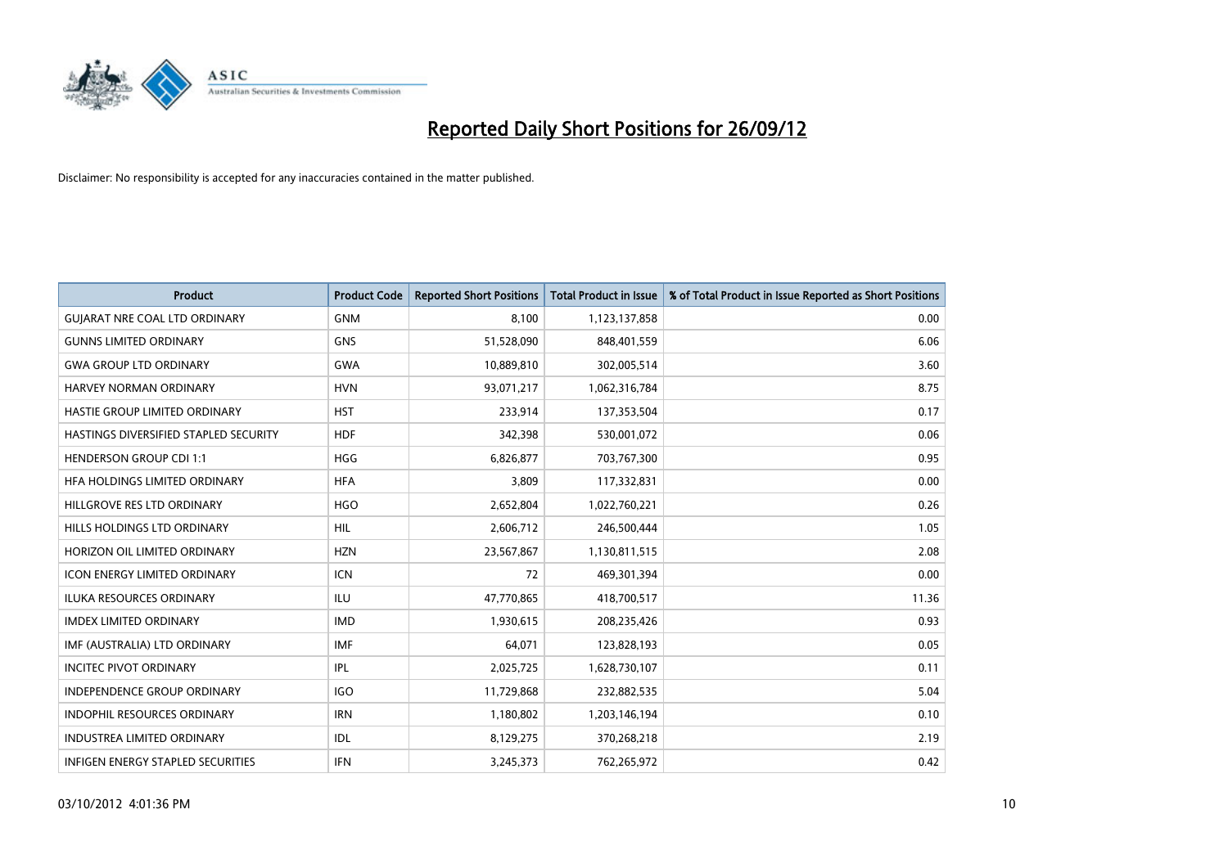

| <b>Product</b>                        | <b>Product Code</b> | <b>Reported Short Positions</b> | <b>Total Product in Issue</b> | % of Total Product in Issue Reported as Short Positions |
|---------------------------------------|---------------------|---------------------------------|-------------------------------|---------------------------------------------------------|
| <b>GUIARAT NRE COAL LTD ORDINARY</b>  | <b>GNM</b>          | 8,100                           | 1,123,137,858                 | 0.00                                                    |
| <b>GUNNS LIMITED ORDINARY</b>         | <b>GNS</b>          | 51,528,090                      | 848,401,559                   | 6.06                                                    |
| <b>GWA GROUP LTD ORDINARY</b>         | <b>GWA</b>          | 10,889,810                      | 302,005,514                   | 3.60                                                    |
| HARVEY NORMAN ORDINARY                | <b>HVN</b>          | 93,071,217                      | 1,062,316,784                 | 8.75                                                    |
| HASTIE GROUP LIMITED ORDINARY         | <b>HST</b>          | 233,914                         | 137,353,504                   | 0.17                                                    |
| HASTINGS DIVERSIFIED STAPLED SECURITY | <b>HDF</b>          | 342,398                         | 530,001,072                   | 0.06                                                    |
| <b>HENDERSON GROUP CDI 1:1</b>        | <b>HGG</b>          | 6,826,877                       | 703,767,300                   | 0.95                                                    |
| HFA HOLDINGS LIMITED ORDINARY         | <b>HFA</b>          | 3,809                           | 117,332,831                   | 0.00                                                    |
| HILLGROVE RES LTD ORDINARY            | <b>HGO</b>          | 2,652,804                       | 1,022,760,221                 | 0.26                                                    |
| HILLS HOLDINGS LTD ORDINARY           | <b>HIL</b>          | 2,606,712                       | 246,500,444                   | 1.05                                                    |
| HORIZON OIL LIMITED ORDINARY          | <b>HZN</b>          | 23,567,867                      | 1,130,811,515                 | 2.08                                                    |
| <b>ICON ENERGY LIMITED ORDINARY</b>   | <b>ICN</b>          | 72                              | 469,301,394                   | 0.00                                                    |
| ILUKA RESOURCES ORDINARY              | ILU                 | 47,770,865                      | 418,700,517                   | 11.36                                                   |
| <b>IMDEX LIMITED ORDINARY</b>         | <b>IMD</b>          | 1,930,615                       | 208,235,426                   | 0.93                                                    |
| IMF (AUSTRALIA) LTD ORDINARY          | <b>IMF</b>          | 64,071                          | 123,828,193                   | 0.05                                                    |
| <b>INCITEC PIVOT ORDINARY</b>         | <b>IPL</b>          | 2,025,725                       | 1,628,730,107                 | 0.11                                                    |
| INDEPENDENCE GROUP ORDINARY           | <b>IGO</b>          | 11,729,868                      | 232,882,535                   | 5.04                                                    |
| INDOPHIL RESOURCES ORDINARY           | <b>IRN</b>          | 1,180,802                       | 1,203,146,194                 | 0.10                                                    |
| <b>INDUSTREA LIMITED ORDINARY</b>     | <b>IDL</b>          | 8,129,275                       | 370,268,218                   | 2.19                                                    |
| INFIGEN ENERGY STAPLED SECURITIES     | <b>IFN</b>          | 3,245,373                       | 762,265,972                   | 0.42                                                    |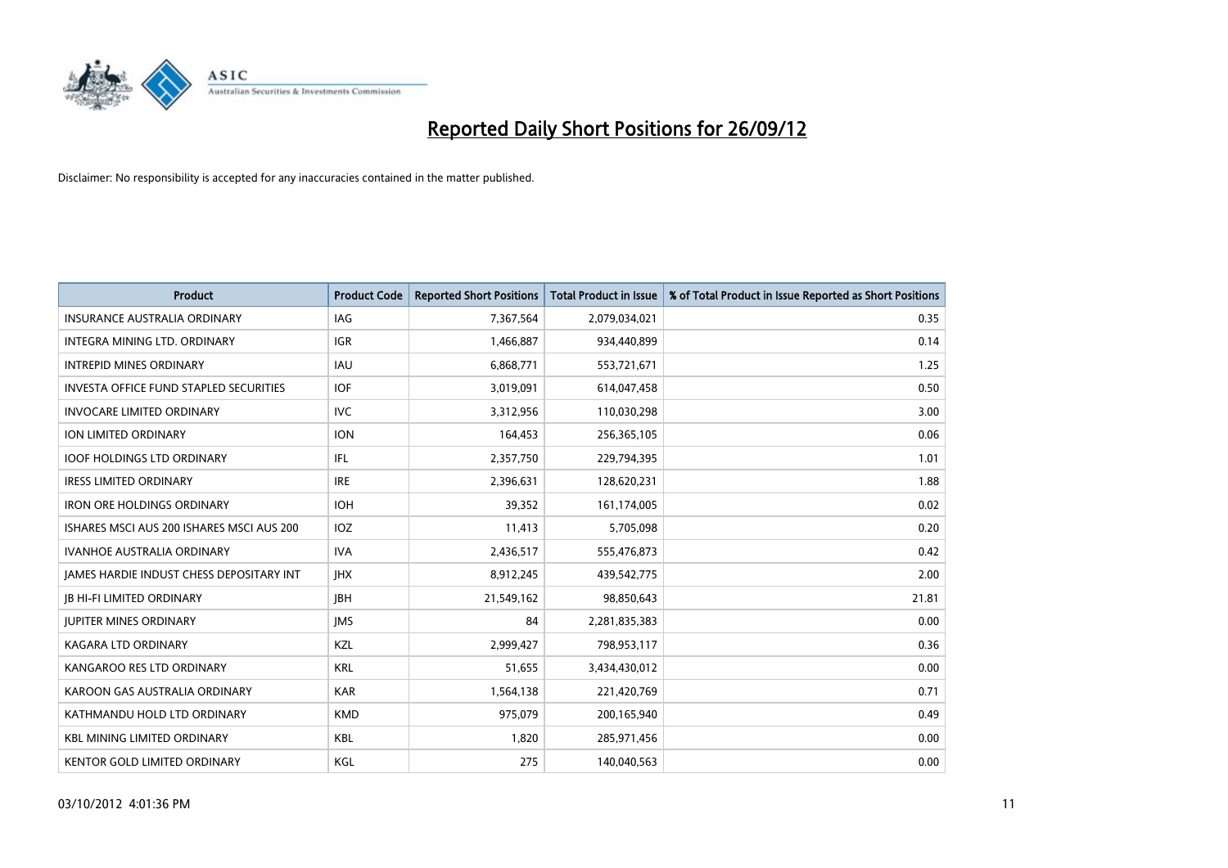

| <b>Product</b>                                | <b>Product Code</b> | <b>Reported Short Positions</b> | <b>Total Product in Issue</b> | % of Total Product in Issue Reported as Short Positions |
|-----------------------------------------------|---------------------|---------------------------------|-------------------------------|---------------------------------------------------------|
| <b>INSURANCE AUSTRALIA ORDINARY</b>           | <b>IAG</b>          | 7,367,564                       | 2,079,034,021                 | 0.35                                                    |
| INTEGRA MINING LTD. ORDINARY                  | IGR.                | 1,466,887                       | 934,440,899                   | 0.14                                                    |
| <b>INTREPID MINES ORDINARY</b>                | <b>IAU</b>          | 6,868,771                       | 553,721,671                   | 1.25                                                    |
| <b>INVESTA OFFICE FUND STAPLED SECURITIES</b> | <b>IOF</b>          | 3,019,091                       | 614,047,458                   | 0.50                                                    |
| <b>INVOCARE LIMITED ORDINARY</b>              | <b>IVC</b>          | 3,312,956                       | 110,030,298                   | 3.00                                                    |
| ION LIMITED ORDINARY                          | <b>ION</b>          | 164,453                         | 256,365,105                   | 0.06                                                    |
| <b>IOOF HOLDINGS LTD ORDINARY</b>             | IFL                 | 2,357,750                       | 229,794,395                   | 1.01                                                    |
| <b>IRESS LIMITED ORDINARY</b>                 | <b>IRE</b>          | 2,396,631                       | 128,620,231                   | 1.88                                                    |
| <b>IRON ORE HOLDINGS ORDINARY</b>             | <b>IOH</b>          | 39,352                          | 161,174,005                   | 0.02                                                    |
| ISHARES MSCI AUS 200 ISHARES MSCI AUS 200     | <b>IOZ</b>          | 11,413                          | 5,705,098                     | 0.20                                                    |
| IVANHOE AUSTRALIA ORDINARY                    | <b>IVA</b>          | 2,436,517                       | 555,476,873                   | 0.42                                                    |
| JAMES HARDIE INDUST CHESS DEPOSITARY INT      | <b>IHX</b>          | 8,912,245                       | 439,542,775                   | 2.00                                                    |
| <b>JB HI-FI LIMITED ORDINARY</b>              | <b>IBH</b>          | 21,549,162                      | 98,850,643                    | 21.81                                                   |
| <b>JUPITER MINES ORDINARY</b>                 | <b>IMS</b>          | 84                              | 2,281,835,383                 | 0.00                                                    |
| <b>KAGARA LTD ORDINARY</b>                    | KZL                 | 2,999,427                       | 798,953,117                   | 0.36                                                    |
| KANGAROO RES LTD ORDINARY                     | <b>KRL</b>          | 51,655                          | 3,434,430,012                 | 0.00                                                    |
| KAROON GAS AUSTRALIA ORDINARY                 | <b>KAR</b>          | 1,564,138                       | 221,420,769                   | 0.71                                                    |
| KATHMANDU HOLD LTD ORDINARY                   | <b>KMD</b>          | 975,079                         | 200,165,940                   | 0.49                                                    |
| <b>KBL MINING LIMITED ORDINARY</b>            | <b>KBL</b>          | 1,820                           | 285,971,456                   | 0.00                                                    |
| KENTOR GOLD LIMITED ORDINARY                  | KGL                 | 275                             | 140,040,563                   | 0.00                                                    |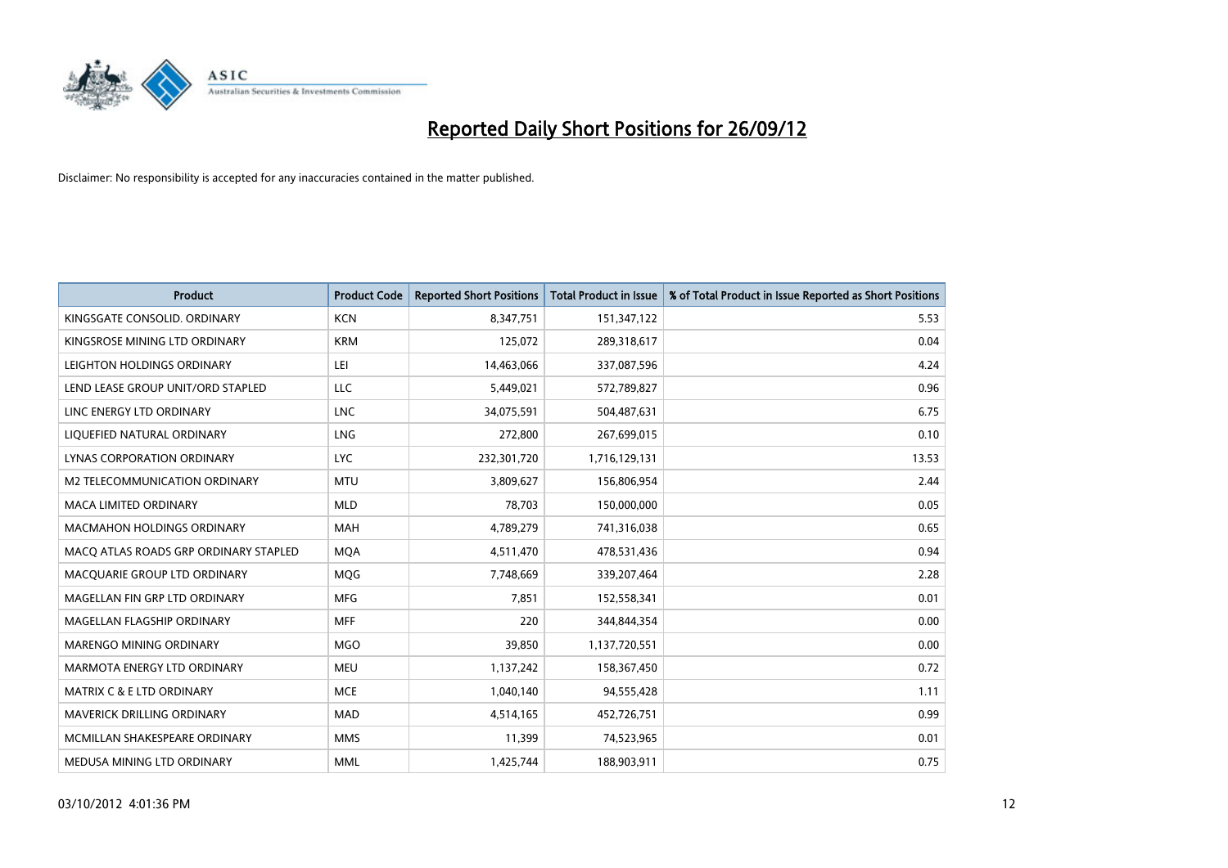

| <b>Product</b>                        | <b>Product Code</b> | <b>Reported Short Positions</b> | <b>Total Product in Issue</b> | % of Total Product in Issue Reported as Short Positions |
|---------------------------------------|---------------------|---------------------------------|-------------------------------|---------------------------------------------------------|
| KINGSGATE CONSOLID. ORDINARY          | <b>KCN</b>          | 8,347,751                       | 151,347,122                   | 5.53                                                    |
| KINGSROSE MINING LTD ORDINARY         | <b>KRM</b>          | 125,072                         | 289,318,617                   | 0.04                                                    |
| LEIGHTON HOLDINGS ORDINARY            | LEI                 | 14,463,066                      | 337,087,596                   | 4.24                                                    |
| LEND LEASE GROUP UNIT/ORD STAPLED     | LLC                 | 5,449,021                       | 572,789,827                   | 0.96                                                    |
| LINC ENERGY LTD ORDINARY              | <b>LNC</b>          | 34,075,591                      | 504,487,631                   | 6.75                                                    |
| LIQUEFIED NATURAL ORDINARY            | LNG                 | 272,800                         | 267,699,015                   | 0.10                                                    |
| LYNAS CORPORATION ORDINARY            | <b>LYC</b>          | 232,301,720                     | 1,716,129,131                 | 13.53                                                   |
| <b>M2 TELECOMMUNICATION ORDINARY</b>  | <b>MTU</b>          | 3,809,627                       | 156,806,954                   | 2.44                                                    |
| MACA LIMITED ORDINARY                 | <b>MLD</b>          | 78,703                          | 150,000,000                   | 0.05                                                    |
| <b>MACMAHON HOLDINGS ORDINARY</b>     | <b>MAH</b>          | 4,789,279                       | 741,316,038                   | 0.65                                                    |
| MACQ ATLAS ROADS GRP ORDINARY STAPLED | <b>MQA</b>          | 4,511,470                       | 478,531,436                   | 0.94                                                    |
| MACQUARIE GROUP LTD ORDINARY          | <b>MOG</b>          | 7,748,669                       | 339,207,464                   | 2.28                                                    |
| MAGELLAN FIN GRP LTD ORDINARY         | <b>MFG</b>          | 7,851                           | 152,558,341                   | 0.01                                                    |
| MAGELLAN FLAGSHIP ORDINARY            | <b>MFF</b>          | 220                             | 344,844,354                   | 0.00                                                    |
| MARENGO MINING ORDINARY               | <b>MGO</b>          | 39,850                          | 1,137,720,551                 | 0.00                                                    |
| MARMOTA ENERGY LTD ORDINARY           | <b>MEU</b>          | 1,137,242                       | 158,367,450                   | 0.72                                                    |
| <b>MATRIX C &amp; E LTD ORDINARY</b>  | <b>MCE</b>          | 1,040,140                       | 94,555,428                    | 1.11                                                    |
| <b>MAVERICK DRILLING ORDINARY</b>     | <b>MAD</b>          | 4,514,165                       | 452,726,751                   | 0.99                                                    |
| MCMILLAN SHAKESPEARE ORDINARY         | <b>MMS</b>          | 11,399                          | 74,523,965                    | 0.01                                                    |
| MEDUSA MINING LTD ORDINARY            | <b>MML</b>          | 1,425,744                       | 188,903,911                   | 0.75                                                    |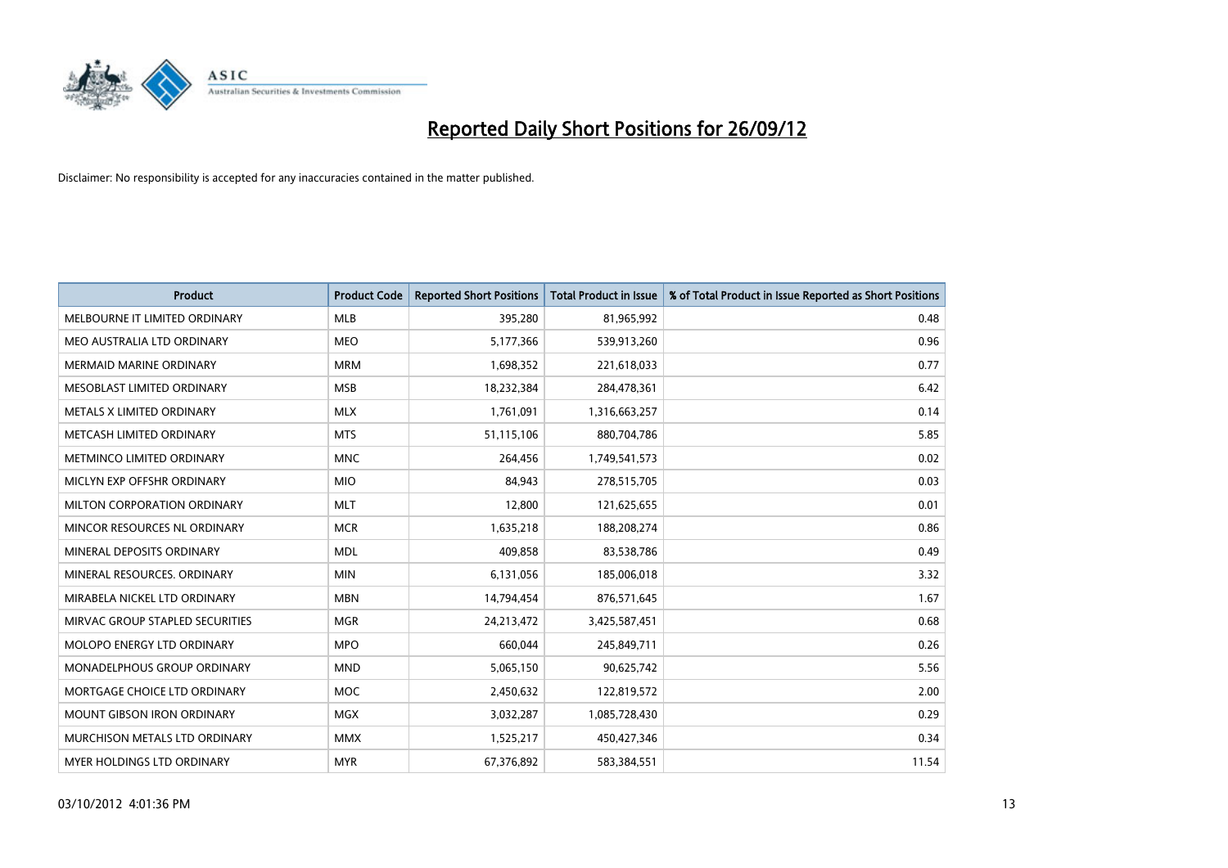

| <b>Product</b>                    | <b>Product Code</b> | <b>Reported Short Positions</b> | <b>Total Product in Issue</b> | % of Total Product in Issue Reported as Short Positions |
|-----------------------------------|---------------------|---------------------------------|-------------------------------|---------------------------------------------------------|
| MELBOURNE IT LIMITED ORDINARY     | <b>MLB</b>          | 395,280                         | 81,965,992                    | 0.48                                                    |
| MEO AUSTRALIA LTD ORDINARY        | <b>MEO</b>          | 5,177,366                       | 539,913,260                   | 0.96                                                    |
| <b>MERMAID MARINE ORDINARY</b>    | <b>MRM</b>          | 1,698,352                       | 221,618,033                   | 0.77                                                    |
| MESOBLAST LIMITED ORDINARY        | <b>MSB</b>          | 18,232,384                      | 284,478,361                   | 6.42                                                    |
| METALS X LIMITED ORDINARY         | <b>MLX</b>          | 1,761,091                       | 1,316,663,257                 | 0.14                                                    |
| METCASH LIMITED ORDINARY          | <b>MTS</b>          | 51,115,106                      | 880,704,786                   | 5.85                                                    |
| METMINCO LIMITED ORDINARY         | <b>MNC</b>          | 264,456                         | 1,749,541,573                 | 0.02                                                    |
| MICLYN EXP OFFSHR ORDINARY        | <b>MIO</b>          | 84,943                          | 278,515,705                   | 0.03                                                    |
| MILTON CORPORATION ORDINARY       | <b>MLT</b>          | 12,800                          | 121,625,655                   | 0.01                                                    |
| MINCOR RESOURCES NL ORDINARY      | <b>MCR</b>          | 1,635,218                       | 188,208,274                   | 0.86                                                    |
| MINERAL DEPOSITS ORDINARY         | <b>MDL</b>          | 409,858                         | 83,538,786                    | 0.49                                                    |
| MINERAL RESOURCES, ORDINARY       | <b>MIN</b>          | 6,131,056                       | 185,006,018                   | 3.32                                                    |
| MIRABELA NICKEL LTD ORDINARY      | <b>MBN</b>          | 14,794,454                      | 876,571,645                   | 1.67                                                    |
| MIRVAC GROUP STAPLED SECURITIES   | <b>MGR</b>          | 24,213,472                      | 3,425,587,451                 | 0.68                                                    |
| MOLOPO ENERGY LTD ORDINARY        | <b>MPO</b>          | 660,044                         | 245,849,711                   | 0.26                                                    |
| MONADELPHOUS GROUP ORDINARY       | <b>MND</b>          | 5,065,150                       | 90,625,742                    | 5.56                                                    |
| MORTGAGE CHOICE LTD ORDINARY      | MOC                 | 2,450,632                       | 122,819,572                   | 2.00                                                    |
| <b>MOUNT GIBSON IRON ORDINARY</b> | <b>MGX</b>          | 3,032,287                       | 1,085,728,430                 | 0.29                                                    |
| MURCHISON METALS LTD ORDINARY     | <b>MMX</b>          | 1,525,217                       | 450,427,346                   | 0.34                                                    |
| <b>MYER HOLDINGS LTD ORDINARY</b> | <b>MYR</b>          | 67,376,892                      | 583,384,551                   | 11.54                                                   |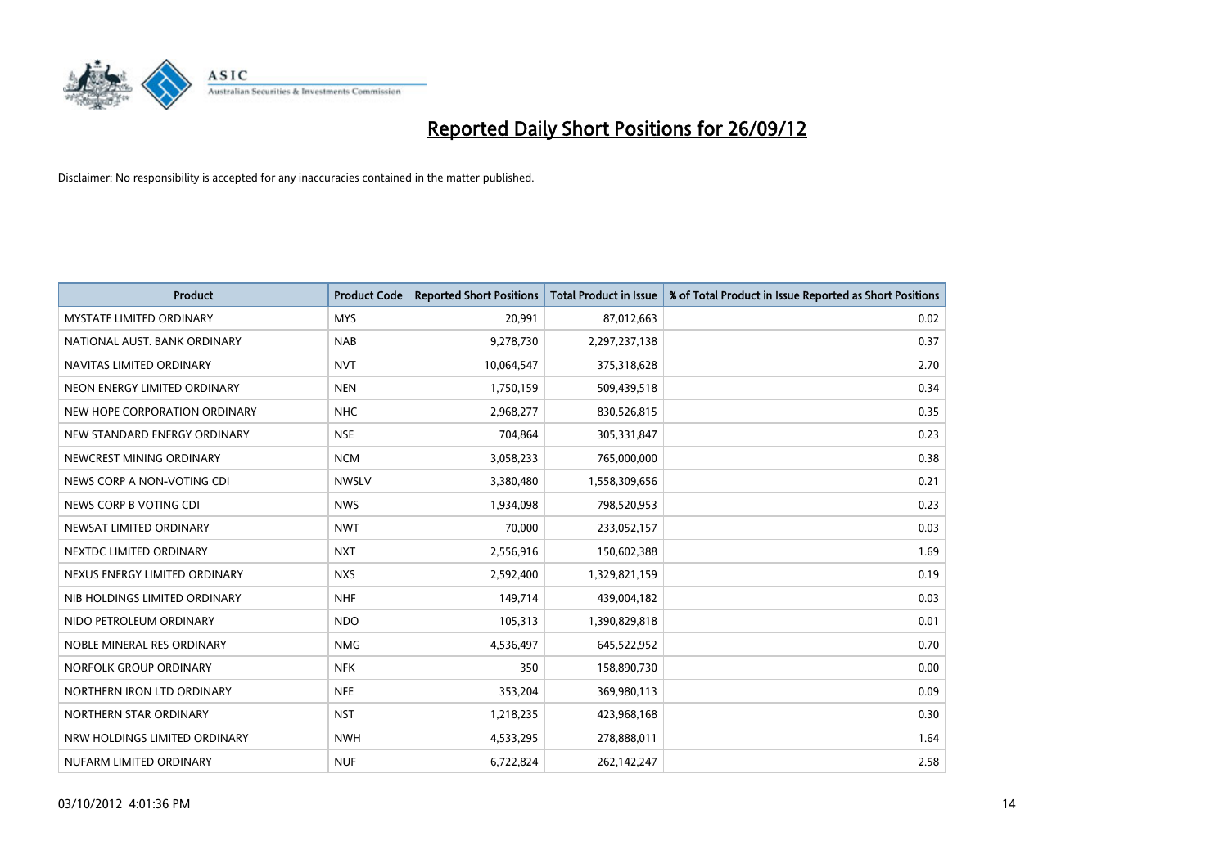

| <b>Product</b>                  | <b>Product Code</b> | <b>Reported Short Positions</b> | <b>Total Product in Issue</b> | % of Total Product in Issue Reported as Short Positions |
|---------------------------------|---------------------|---------------------------------|-------------------------------|---------------------------------------------------------|
| <b>MYSTATE LIMITED ORDINARY</b> | <b>MYS</b>          | 20,991                          | 87,012,663                    | 0.02                                                    |
| NATIONAL AUST. BANK ORDINARY    | <b>NAB</b>          | 9,278,730                       | 2,297,237,138                 | 0.37                                                    |
| NAVITAS LIMITED ORDINARY        | <b>NVT</b>          | 10,064,547                      | 375,318,628                   | 2.70                                                    |
| NEON ENERGY LIMITED ORDINARY    | <b>NEN</b>          | 1,750,159                       | 509,439,518                   | 0.34                                                    |
| NEW HOPE CORPORATION ORDINARY   | <b>NHC</b>          | 2,968,277                       | 830,526,815                   | 0.35                                                    |
| NEW STANDARD ENERGY ORDINARY    | <b>NSE</b>          | 704,864                         | 305,331,847                   | 0.23                                                    |
| NEWCREST MINING ORDINARY        | <b>NCM</b>          | 3,058,233                       | 765,000,000                   | 0.38                                                    |
| NEWS CORP A NON-VOTING CDI      | <b>NWSLV</b>        | 3,380,480                       | 1,558,309,656                 | 0.21                                                    |
| NEWS CORP B VOTING CDI          | <b>NWS</b>          | 1,934,098                       | 798,520,953                   | 0.23                                                    |
| NEWSAT LIMITED ORDINARY         | <b>NWT</b>          | 70,000                          | 233,052,157                   | 0.03                                                    |
| NEXTDC LIMITED ORDINARY         | <b>NXT</b>          | 2,556,916                       | 150,602,388                   | 1.69                                                    |
| NEXUS ENERGY LIMITED ORDINARY   | <b>NXS</b>          | 2,592,400                       | 1,329,821,159                 | 0.19                                                    |
| NIB HOLDINGS LIMITED ORDINARY   | <b>NHF</b>          | 149,714                         | 439,004,182                   | 0.03                                                    |
| NIDO PETROLEUM ORDINARY         | <b>NDO</b>          | 105,313                         | 1,390,829,818                 | 0.01                                                    |
| NOBLE MINERAL RES ORDINARY      | <b>NMG</b>          | 4,536,497                       | 645,522,952                   | 0.70                                                    |
| NORFOLK GROUP ORDINARY          | <b>NFK</b>          | 350                             | 158,890,730                   | 0.00                                                    |
| NORTHERN IRON LTD ORDINARY      | <b>NFE</b>          | 353,204                         | 369,980,113                   | 0.09                                                    |
| NORTHERN STAR ORDINARY          | <b>NST</b>          | 1,218,235                       | 423,968,168                   | 0.30                                                    |
| NRW HOLDINGS LIMITED ORDINARY   | <b>NWH</b>          | 4,533,295                       | 278,888,011                   | 1.64                                                    |
| NUFARM LIMITED ORDINARY         | <b>NUF</b>          | 6,722,824                       | 262,142,247                   | 2.58                                                    |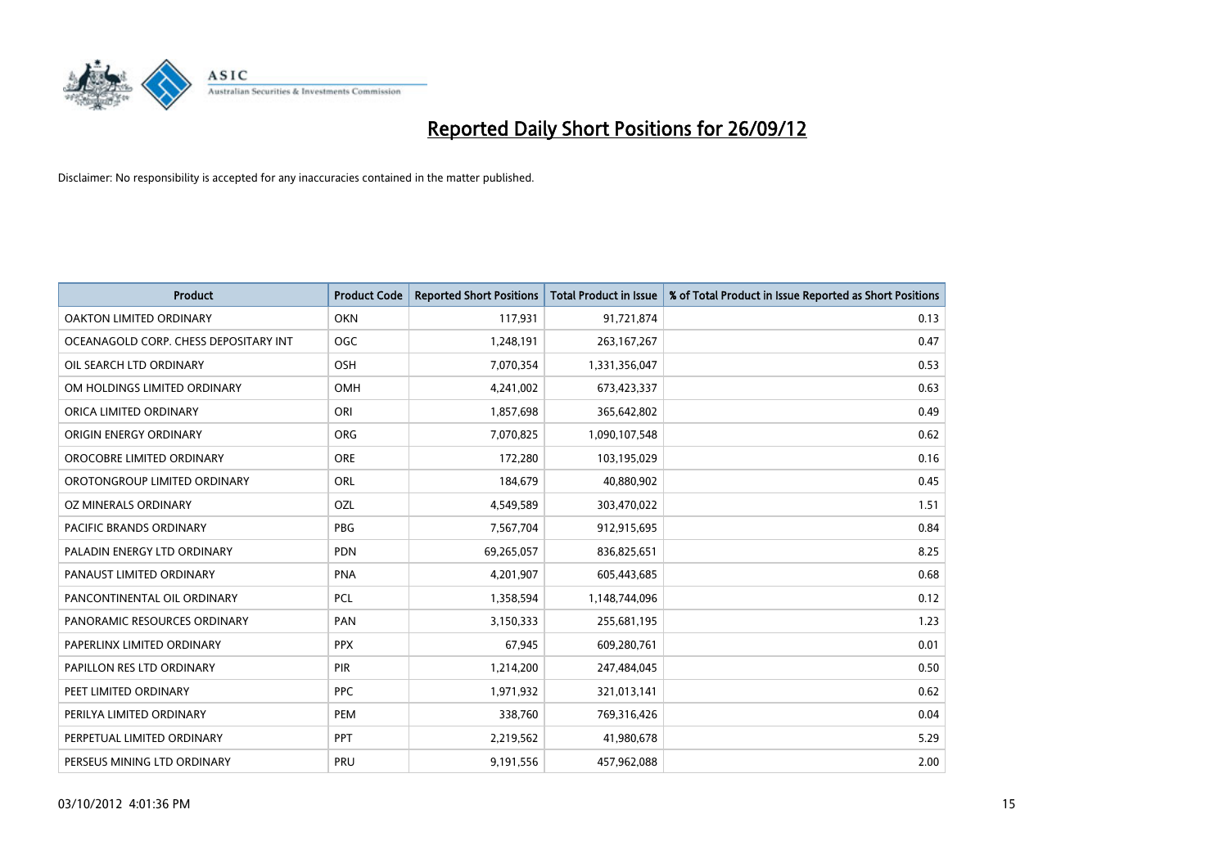

| <b>Product</b>                        | <b>Product Code</b> | <b>Reported Short Positions</b> | <b>Total Product in Issue</b> | % of Total Product in Issue Reported as Short Positions |
|---------------------------------------|---------------------|---------------------------------|-------------------------------|---------------------------------------------------------|
| <b>OAKTON LIMITED ORDINARY</b>        | <b>OKN</b>          | 117,931                         | 91,721,874                    | 0.13                                                    |
| OCEANAGOLD CORP. CHESS DEPOSITARY INT | <b>OGC</b>          | 1,248,191                       | 263, 167, 267                 | 0.47                                                    |
| OIL SEARCH LTD ORDINARY               | OSH                 | 7,070,354                       | 1,331,356,047                 | 0.53                                                    |
| OM HOLDINGS LIMITED ORDINARY          | OMH                 | 4,241,002                       | 673,423,337                   | 0.63                                                    |
| ORICA LIMITED ORDINARY                | ORI                 | 1,857,698                       | 365,642,802                   | 0.49                                                    |
| ORIGIN ENERGY ORDINARY                | ORG                 | 7,070,825                       | 1,090,107,548                 | 0.62                                                    |
| OROCOBRE LIMITED ORDINARY             | <b>ORE</b>          | 172,280                         | 103,195,029                   | 0.16                                                    |
| OROTONGROUP LIMITED ORDINARY          | ORL                 | 184,679                         | 40,880,902                    | 0.45                                                    |
| <b>OZ MINERALS ORDINARY</b>           | OZL                 | 4,549,589                       | 303,470,022                   | 1.51                                                    |
| <b>PACIFIC BRANDS ORDINARY</b>        | <b>PBG</b>          | 7,567,704                       | 912,915,695                   | 0.84                                                    |
| PALADIN ENERGY LTD ORDINARY           | <b>PDN</b>          | 69,265,057                      | 836,825,651                   | 8.25                                                    |
| PANAUST LIMITED ORDINARY              | <b>PNA</b>          | 4,201,907                       | 605,443,685                   | 0.68                                                    |
| PANCONTINENTAL OIL ORDINARY           | <b>PCL</b>          | 1,358,594                       | 1,148,744,096                 | 0.12                                                    |
| PANORAMIC RESOURCES ORDINARY          | PAN                 | 3,150,333                       | 255,681,195                   | 1.23                                                    |
| PAPERLINX LIMITED ORDINARY            | <b>PPX</b>          | 67,945                          | 609,280,761                   | 0.01                                                    |
| PAPILLON RES LTD ORDINARY             | PIR                 | 1,214,200                       | 247,484,045                   | 0.50                                                    |
| PEET LIMITED ORDINARY                 | <b>PPC</b>          | 1,971,932                       | 321,013,141                   | 0.62                                                    |
| PERILYA LIMITED ORDINARY              | <b>PEM</b>          | 338,760                         | 769,316,426                   | 0.04                                                    |
| PERPETUAL LIMITED ORDINARY            | <b>PPT</b>          | 2,219,562                       | 41,980,678                    | 5.29                                                    |
| PERSEUS MINING LTD ORDINARY           | PRU                 | 9,191,556                       | 457,962,088                   | 2.00                                                    |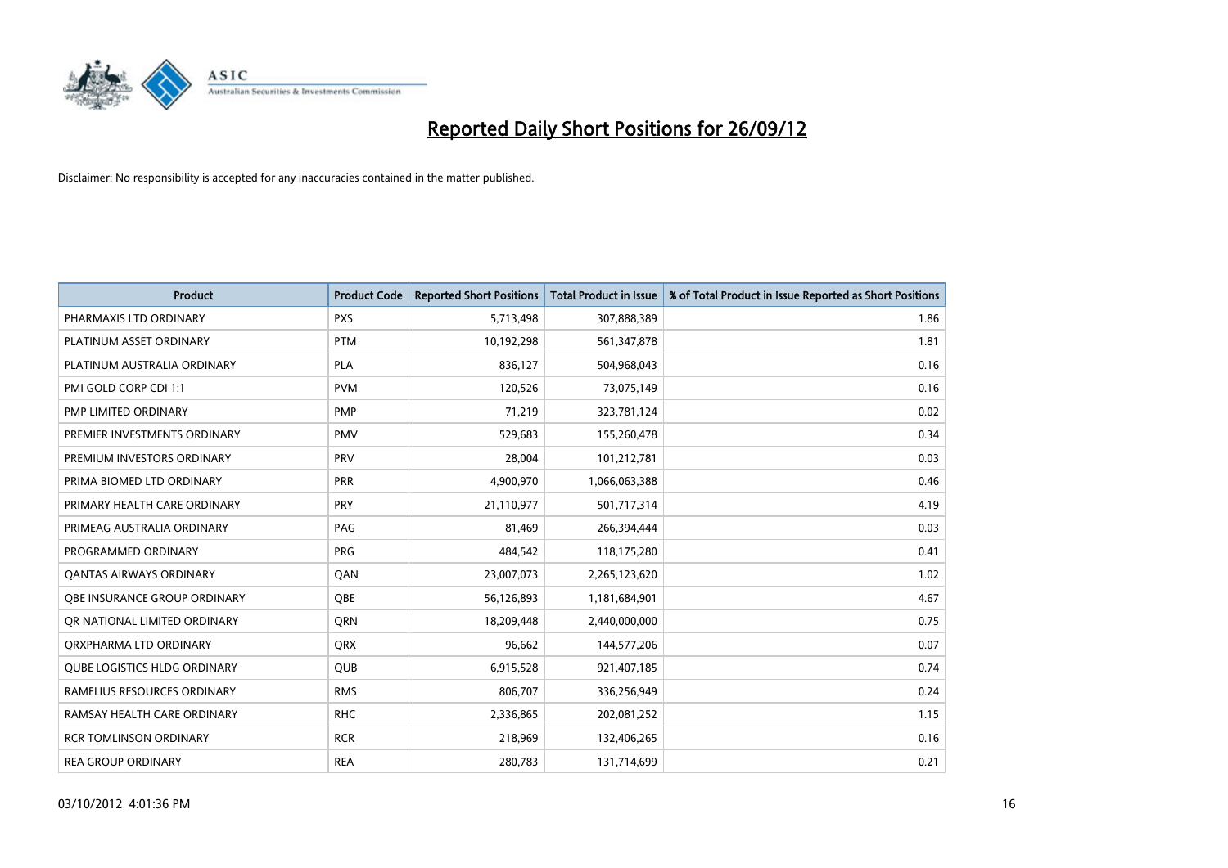

| <b>Product</b>                      | <b>Product Code</b> | <b>Reported Short Positions</b> | <b>Total Product in Issue</b> | % of Total Product in Issue Reported as Short Positions |
|-------------------------------------|---------------------|---------------------------------|-------------------------------|---------------------------------------------------------|
| PHARMAXIS LTD ORDINARY              | <b>PXS</b>          | 5,713,498                       | 307,888,389                   | 1.86                                                    |
| PLATINUM ASSET ORDINARY             | <b>PTM</b>          | 10,192,298                      | 561,347,878                   | 1.81                                                    |
| PLATINUM AUSTRALIA ORDINARY         | <b>PLA</b>          | 836,127                         | 504,968,043                   | 0.16                                                    |
| PMI GOLD CORP CDI 1:1               | <b>PVM</b>          | 120,526                         | 73,075,149                    | 0.16                                                    |
| PMP LIMITED ORDINARY                | <b>PMP</b>          | 71,219                          | 323,781,124                   | 0.02                                                    |
| PREMIER INVESTMENTS ORDINARY        | <b>PMV</b>          | 529,683                         | 155,260,478                   | 0.34                                                    |
| PREMIUM INVESTORS ORDINARY          | PRV                 | 28,004                          | 101,212,781                   | 0.03                                                    |
| PRIMA BIOMED LTD ORDINARY           | <b>PRR</b>          | 4,900,970                       | 1,066,063,388                 | 0.46                                                    |
| PRIMARY HEALTH CARE ORDINARY        | <b>PRY</b>          | 21,110,977                      | 501,717,314                   | 4.19                                                    |
| PRIMEAG AUSTRALIA ORDINARY          | PAG                 | 81,469                          | 266,394,444                   | 0.03                                                    |
| PROGRAMMED ORDINARY                 | <b>PRG</b>          | 484,542                         | 118,175,280                   | 0.41                                                    |
| OANTAS AIRWAYS ORDINARY             | QAN                 | 23,007,073                      | 2,265,123,620                 | 1.02                                                    |
| OBE INSURANCE GROUP ORDINARY        | <b>OBE</b>          | 56,126,893                      | 1,181,684,901                 | 4.67                                                    |
| OR NATIONAL LIMITED ORDINARY        | <b>ORN</b>          | 18,209,448                      | 2,440,000,000                 | 0.75                                                    |
| ORXPHARMA LTD ORDINARY              | QRX                 | 96,662                          | 144,577,206                   | 0.07                                                    |
| <b>QUBE LOGISTICS HLDG ORDINARY</b> | <b>QUB</b>          | 6,915,528                       | 921,407,185                   | 0.74                                                    |
| RAMELIUS RESOURCES ORDINARY         | <b>RMS</b>          | 806,707                         | 336,256,949                   | 0.24                                                    |
| RAMSAY HEALTH CARE ORDINARY         | <b>RHC</b>          | 2,336,865                       | 202,081,252                   | 1.15                                                    |
| <b>RCR TOMLINSON ORDINARY</b>       | <b>RCR</b>          | 218,969                         | 132,406,265                   | 0.16                                                    |
| <b>REA GROUP ORDINARY</b>           | <b>REA</b>          | 280,783                         | 131,714,699                   | 0.21                                                    |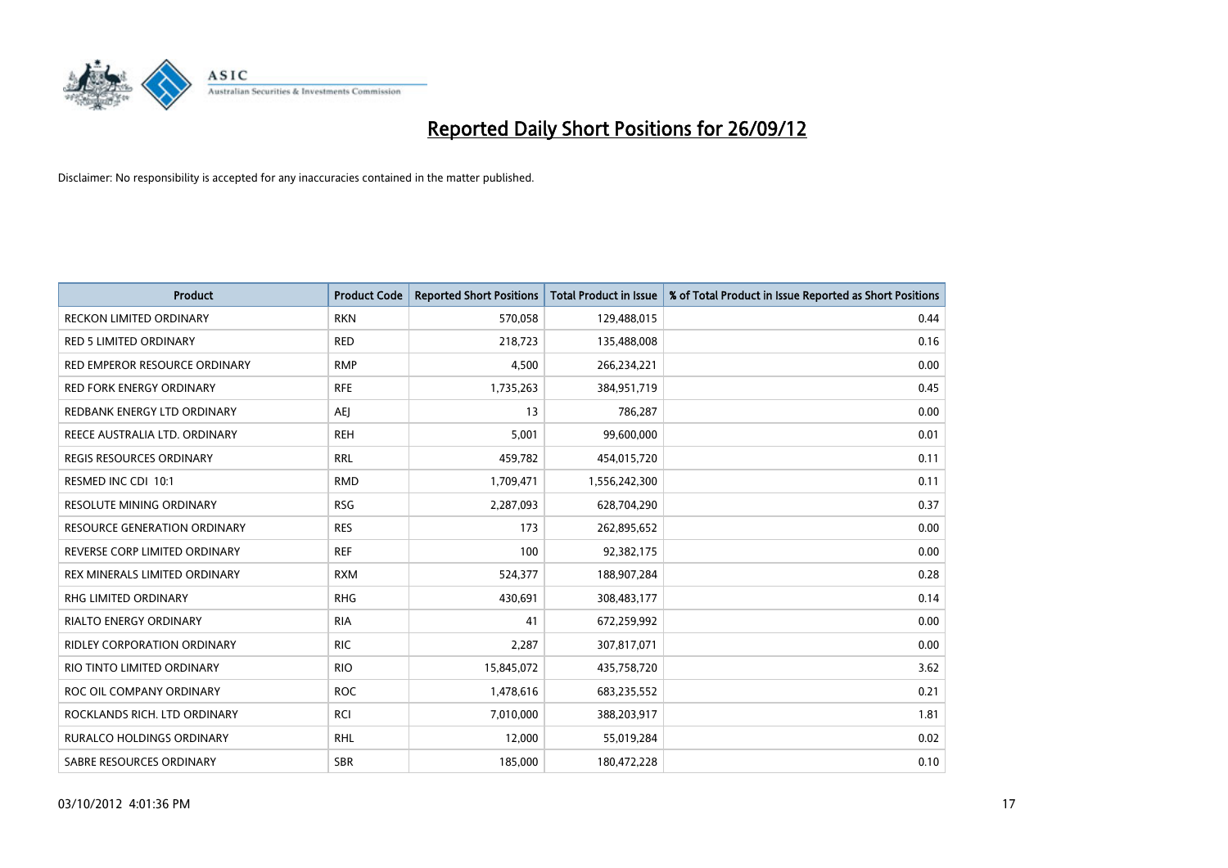

| Product                             | <b>Product Code</b> | <b>Reported Short Positions</b> | <b>Total Product in Issue</b> | % of Total Product in Issue Reported as Short Positions |
|-------------------------------------|---------------------|---------------------------------|-------------------------------|---------------------------------------------------------|
| <b>RECKON LIMITED ORDINARY</b>      | <b>RKN</b>          | 570,058                         | 129,488,015                   | 0.44                                                    |
| <b>RED 5 LIMITED ORDINARY</b>       | <b>RED</b>          | 218,723                         | 135,488,008                   | 0.16                                                    |
| RED EMPEROR RESOURCE ORDINARY       | <b>RMP</b>          | 4,500                           | 266,234,221                   | 0.00                                                    |
| <b>RED FORK ENERGY ORDINARY</b>     | <b>RFE</b>          | 1,735,263                       | 384,951,719                   | 0.45                                                    |
| REDBANK ENERGY LTD ORDINARY         | <b>AEI</b>          | 13                              | 786,287                       | 0.00                                                    |
| REECE AUSTRALIA LTD. ORDINARY       | <b>REH</b>          | 5,001                           | 99,600,000                    | 0.01                                                    |
| <b>REGIS RESOURCES ORDINARY</b>     | <b>RRL</b>          | 459,782                         | 454,015,720                   | 0.11                                                    |
| RESMED INC CDI 10:1                 | <b>RMD</b>          | 1,709,471                       | 1,556,242,300                 | 0.11                                                    |
| <b>RESOLUTE MINING ORDINARY</b>     | <b>RSG</b>          | 2,287,093                       | 628,704,290                   | 0.37                                                    |
| <b>RESOURCE GENERATION ORDINARY</b> | <b>RES</b>          | 173                             | 262,895,652                   | 0.00                                                    |
| REVERSE CORP LIMITED ORDINARY       | <b>REF</b>          | 100                             | 92,382,175                    | 0.00                                                    |
| REX MINERALS LIMITED ORDINARY       | <b>RXM</b>          | 524,377                         | 188,907,284                   | 0.28                                                    |
| RHG LIMITED ORDINARY                | <b>RHG</b>          | 430,691                         | 308,483,177                   | 0.14                                                    |
| <b>RIALTO ENERGY ORDINARY</b>       | <b>RIA</b>          | 41                              | 672,259,992                   | 0.00                                                    |
| <b>RIDLEY CORPORATION ORDINARY</b>  | <b>RIC</b>          | 2,287                           | 307,817,071                   | 0.00                                                    |
| RIO TINTO LIMITED ORDINARY          | <b>RIO</b>          | 15,845,072                      | 435,758,720                   | 3.62                                                    |
| ROC OIL COMPANY ORDINARY            | <b>ROC</b>          | 1,478,616                       | 683,235,552                   | 0.21                                                    |
| ROCKLANDS RICH. LTD ORDINARY        | <b>RCI</b>          | 7,010,000                       | 388,203,917                   | 1.81                                                    |
| <b>RURALCO HOLDINGS ORDINARY</b>    | <b>RHL</b>          | 12,000                          | 55,019,284                    | 0.02                                                    |
| SABRE RESOURCES ORDINARY            | <b>SBR</b>          | 185,000                         | 180,472,228                   | 0.10                                                    |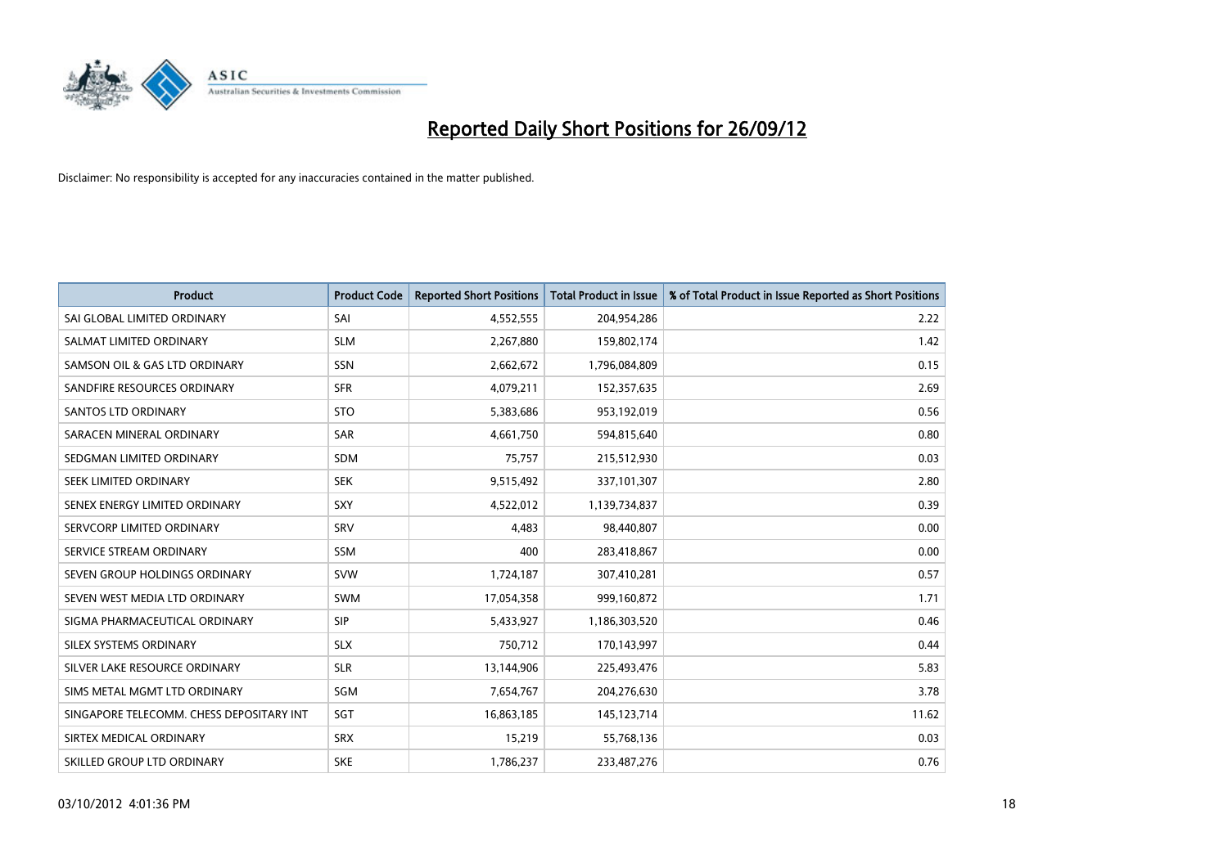

| <b>Product</b>                           | <b>Product Code</b> | <b>Reported Short Positions</b> | <b>Total Product in Issue</b> | % of Total Product in Issue Reported as Short Positions |
|------------------------------------------|---------------------|---------------------------------|-------------------------------|---------------------------------------------------------|
| SAI GLOBAL LIMITED ORDINARY              | SAI                 | 4,552,555                       | 204,954,286                   | 2.22                                                    |
| SALMAT LIMITED ORDINARY                  | <b>SLM</b>          | 2,267,880                       | 159,802,174                   | 1.42                                                    |
| SAMSON OIL & GAS LTD ORDINARY            | <b>SSN</b>          | 2,662,672                       | 1,796,084,809                 | 0.15                                                    |
| SANDFIRE RESOURCES ORDINARY              | <b>SFR</b>          | 4,079,211                       | 152,357,635                   | 2.69                                                    |
| <b>SANTOS LTD ORDINARY</b>               | <b>STO</b>          | 5,383,686                       | 953,192,019                   | 0.56                                                    |
| SARACEN MINERAL ORDINARY                 | <b>SAR</b>          | 4,661,750                       | 594,815,640                   | 0.80                                                    |
| SEDGMAN LIMITED ORDINARY                 | <b>SDM</b>          | 75,757                          | 215,512,930                   | 0.03                                                    |
| SEEK LIMITED ORDINARY                    | <b>SEK</b>          | 9,515,492                       | 337,101,307                   | 2.80                                                    |
| SENEX ENERGY LIMITED ORDINARY            | <b>SXY</b>          | 4,522,012                       | 1,139,734,837                 | 0.39                                                    |
| SERVCORP LIMITED ORDINARY                | SRV                 | 4,483                           | 98,440,807                    | 0.00                                                    |
| SERVICE STREAM ORDINARY                  | SSM                 | 400                             | 283,418,867                   | 0.00                                                    |
| SEVEN GROUP HOLDINGS ORDINARY            | <b>SVW</b>          | 1,724,187                       | 307,410,281                   | 0.57                                                    |
| SEVEN WEST MEDIA LTD ORDINARY            | <b>SWM</b>          | 17,054,358                      | 999,160,872                   | 1.71                                                    |
| SIGMA PHARMACEUTICAL ORDINARY            | <b>SIP</b>          | 5,433,927                       | 1,186,303,520                 | 0.46                                                    |
| SILEX SYSTEMS ORDINARY                   | <b>SLX</b>          | 750,712                         | 170,143,997                   | 0.44                                                    |
| SILVER LAKE RESOURCE ORDINARY            | <b>SLR</b>          | 13,144,906                      | 225,493,476                   | 5.83                                                    |
| SIMS METAL MGMT LTD ORDINARY             | SGM                 | 7,654,767                       | 204,276,630                   | 3.78                                                    |
| SINGAPORE TELECOMM. CHESS DEPOSITARY INT | SGT                 | 16,863,185                      | 145,123,714                   | 11.62                                                   |
| SIRTEX MEDICAL ORDINARY                  | <b>SRX</b>          | 15,219                          | 55,768,136                    | 0.03                                                    |
| SKILLED GROUP LTD ORDINARY               | <b>SKE</b>          | 1,786,237                       | 233,487,276                   | 0.76                                                    |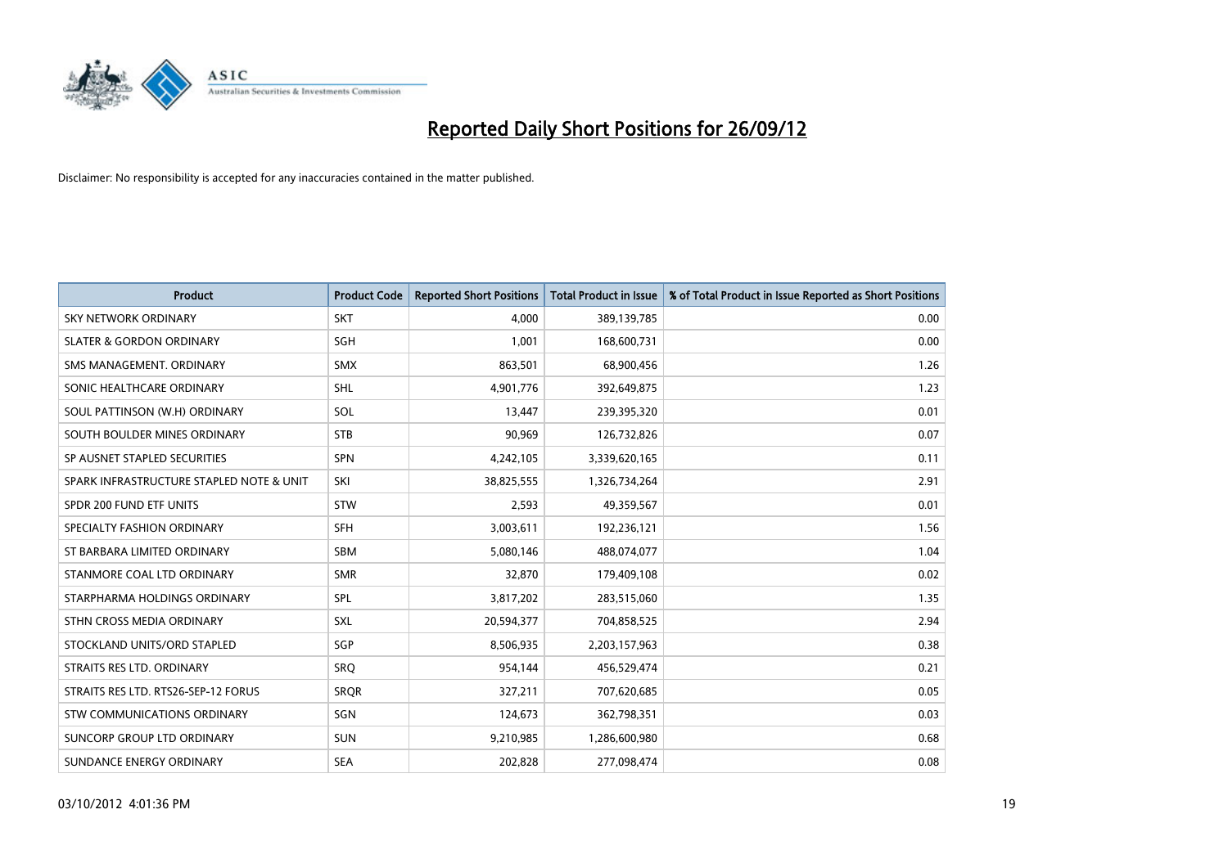

| <b>Product</b>                           | <b>Product Code</b> | <b>Reported Short Positions</b> | <b>Total Product in Issue</b> | % of Total Product in Issue Reported as Short Positions |
|------------------------------------------|---------------------|---------------------------------|-------------------------------|---------------------------------------------------------|
| <b>SKY NETWORK ORDINARY</b>              | <b>SKT</b>          | 4,000                           | 389,139,785                   | 0.00                                                    |
| <b>SLATER &amp; GORDON ORDINARY</b>      | SGH                 | 1,001                           | 168,600,731                   | 0.00                                                    |
| SMS MANAGEMENT, ORDINARY                 | <b>SMX</b>          | 863,501                         | 68,900,456                    | 1.26                                                    |
| SONIC HEALTHCARE ORDINARY                | SHL                 | 4,901,776                       | 392,649,875                   | 1.23                                                    |
| SOUL PATTINSON (W.H) ORDINARY            | SOL                 | 13,447                          | 239,395,320                   | 0.01                                                    |
| SOUTH BOULDER MINES ORDINARY             | <b>STB</b>          | 90,969                          | 126,732,826                   | 0.07                                                    |
| SP AUSNET STAPLED SECURITIES             | <b>SPN</b>          | 4,242,105                       | 3,339,620,165                 | 0.11                                                    |
| SPARK INFRASTRUCTURE STAPLED NOTE & UNIT | SKI                 | 38,825,555                      | 1,326,734,264                 | 2.91                                                    |
| SPDR 200 FUND ETF UNITS                  | <b>STW</b>          | 2,593                           | 49,359,567                    | 0.01                                                    |
| SPECIALTY FASHION ORDINARY               | <b>SFH</b>          | 3,003,611                       | 192,236,121                   | 1.56                                                    |
| ST BARBARA LIMITED ORDINARY              | <b>SBM</b>          | 5,080,146                       | 488,074,077                   | 1.04                                                    |
| STANMORE COAL LTD ORDINARY               | <b>SMR</b>          | 32,870                          | 179,409,108                   | 0.02                                                    |
| STARPHARMA HOLDINGS ORDINARY             | SPL                 | 3,817,202                       | 283,515,060                   | 1.35                                                    |
| STHN CROSS MEDIA ORDINARY                | SXL                 | 20,594,377                      | 704,858,525                   | 2.94                                                    |
| STOCKLAND UNITS/ORD STAPLED              | SGP                 | 8,506,935                       | 2,203,157,963                 | 0.38                                                    |
| STRAITS RES LTD. ORDINARY                | SRQ                 | 954,144                         | 456,529,474                   | 0.21                                                    |
| STRAITS RES LTD. RTS26-SEP-12 FORUS      | SRQR                | 327,211                         | 707,620,685                   | 0.05                                                    |
| <b>STW COMMUNICATIONS ORDINARY</b>       | SGN                 | 124,673                         | 362,798,351                   | 0.03                                                    |
| SUNCORP GROUP LTD ORDINARY               | <b>SUN</b>          | 9,210,985                       | 1,286,600,980                 | 0.68                                                    |
| SUNDANCE ENERGY ORDINARY                 | <b>SEA</b>          | 202,828                         | 277,098,474                   | 0.08                                                    |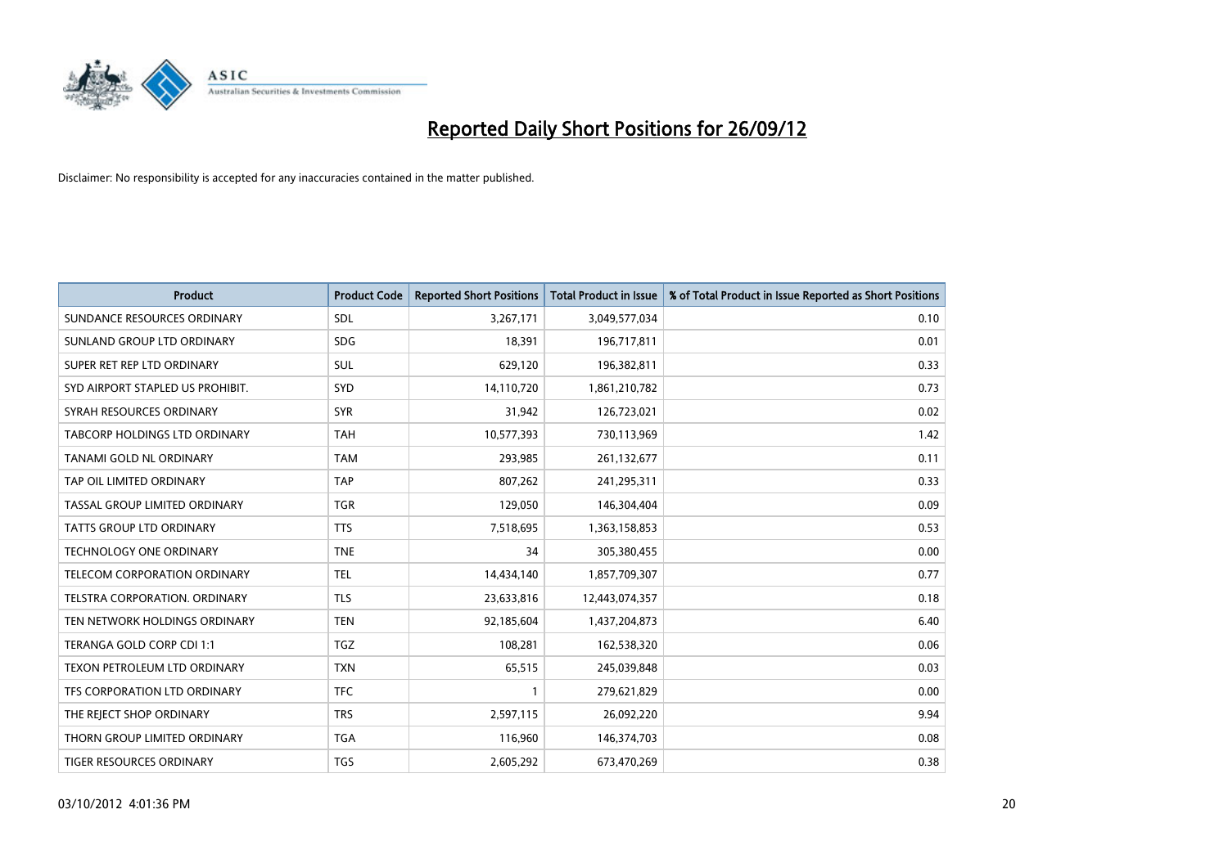

| <b>Product</b>                      | <b>Product Code</b> | <b>Reported Short Positions</b> | <b>Total Product in Issue</b> | % of Total Product in Issue Reported as Short Positions |
|-------------------------------------|---------------------|---------------------------------|-------------------------------|---------------------------------------------------------|
| SUNDANCE RESOURCES ORDINARY         | SDL                 | 3,267,171                       | 3,049,577,034                 | 0.10                                                    |
| SUNLAND GROUP LTD ORDINARY          | <b>SDG</b>          | 18,391                          | 196,717,811                   | 0.01                                                    |
| SUPER RET REP LTD ORDINARY          | <b>SUL</b>          | 629,120                         | 196,382,811                   | 0.33                                                    |
| SYD AIRPORT STAPLED US PROHIBIT.    | <b>SYD</b>          | 14,110,720                      | 1,861,210,782                 | 0.73                                                    |
| SYRAH RESOURCES ORDINARY            | <b>SYR</b>          | 31,942                          | 126,723,021                   | 0.02                                                    |
| TABCORP HOLDINGS LTD ORDINARY       | <b>TAH</b>          | 10,577,393                      | 730,113,969                   | 1.42                                                    |
| TANAMI GOLD NL ORDINARY             | <b>TAM</b>          | 293,985                         | 261,132,677                   | 0.11                                                    |
| TAP OIL LIMITED ORDINARY            | <b>TAP</b>          | 807,262                         | 241,295,311                   | 0.33                                                    |
| TASSAL GROUP LIMITED ORDINARY       | <b>TGR</b>          | 129,050                         | 146,304,404                   | 0.09                                                    |
| <b>TATTS GROUP LTD ORDINARY</b>     | <b>TTS</b>          | 7,518,695                       | 1,363,158,853                 | 0.53                                                    |
| TECHNOLOGY ONE ORDINARY             | <b>TNE</b>          | 34                              | 305,380,455                   | 0.00                                                    |
| <b>TELECOM CORPORATION ORDINARY</b> | <b>TEL</b>          | 14,434,140                      | 1,857,709,307                 | 0.77                                                    |
| TELSTRA CORPORATION. ORDINARY       | <b>TLS</b>          | 23,633,816                      | 12,443,074,357                | 0.18                                                    |
| TEN NETWORK HOLDINGS ORDINARY       | <b>TEN</b>          | 92,185,604                      | 1,437,204,873                 | 6.40                                                    |
| TERANGA GOLD CORP CDI 1:1           | <b>TGZ</b>          | 108,281                         | 162,538,320                   | 0.06                                                    |
| TEXON PETROLEUM LTD ORDINARY        | <b>TXN</b>          | 65,515                          | 245,039,848                   | 0.03                                                    |
| TFS CORPORATION LTD ORDINARY        | <b>TFC</b>          | $\mathbf{1}$                    | 279,621,829                   | 0.00                                                    |
| THE REJECT SHOP ORDINARY            | <b>TRS</b>          | 2,597,115                       | 26,092,220                    | 9.94                                                    |
| THORN GROUP LIMITED ORDINARY        | <b>TGA</b>          | 116,960                         | 146,374,703                   | 0.08                                                    |
| TIGER RESOURCES ORDINARY            | <b>TGS</b>          | 2,605,292                       | 673,470,269                   | 0.38                                                    |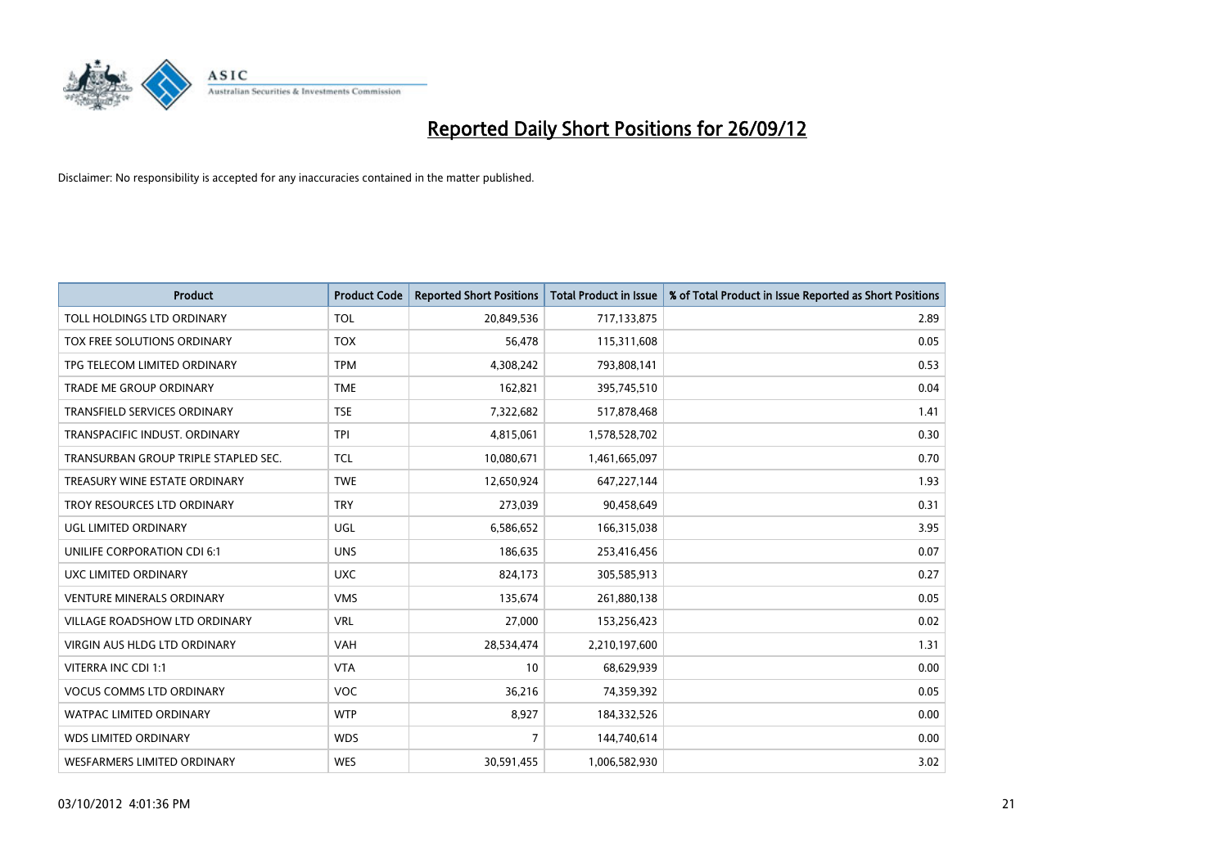

| <b>Product</b>                       | <b>Product Code</b> | <b>Reported Short Positions</b> | <b>Total Product in Issue</b> | % of Total Product in Issue Reported as Short Positions |
|--------------------------------------|---------------------|---------------------------------|-------------------------------|---------------------------------------------------------|
| TOLL HOLDINGS LTD ORDINARY           | <b>TOL</b>          | 20,849,536                      | 717,133,875                   | 2.89                                                    |
| TOX FREE SOLUTIONS ORDINARY          | <b>TOX</b>          | 56,478                          | 115,311,608                   | 0.05                                                    |
| TPG TELECOM LIMITED ORDINARY         | <b>TPM</b>          | 4,308,242                       | 793,808,141                   | 0.53                                                    |
| <b>TRADE ME GROUP ORDINARY</b>       | <b>TME</b>          | 162,821                         | 395,745,510                   | 0.04                                                    |
| <b>TRANSFIELD SERVICES ORDINARY</b>  | <b>TSE</b>          | 7,322,682                       | 517,878,468                   | 1.41                                                    |
| TRANSPACIFIC INDUST, ORDINARY        | <b>TPI</b>          | 4,815,061                       | 1,578,528,702                 | 0.30                                                    |
| TRANSURBAN GROUP TRIPLE STAPLED SEC. | <b>TCL</b>          | 10,080,671                      | 1,461,665,097                 | 0.70                                                    |
| TREASURY WINE ESTATE ORDINARY        | <b>TWE</b>          | 12,650,924                      | 647,227,144                   | 1.93                                                    |
| TROY RESOURCES LTD ORDINARY          | <b>TRY</b>          | 273,039                         | 90,458,649                    | 0.31                                                    |
| <b>UGL LIMITED ORDINARY</b>          | UGL                 | 6,586,652                       | 166,315,038                   | 3.95                                                    |
| UNILIFE CORPORATION CDI 6:1          | <b>UNS</b>          | 186,635                         | 253,416,456                   | 0.07                                                    |
| UXC LIMITED ORDINARY                 | <b>UXC</b>          | 824,173                         | 305,585,913                   | 0.27                                                    |
| <b>VENTURE MINERALS ORDINARY</b>     | <b>VMS</b>          | 135,674                         | 261,880,138                   | 0.05                                                    |
| <b>VILLAGE ROADSHOW LTD ORDINARY</b> | <b>VRL</b>          | 27,000                          | 153,256,423                   | 0.02                                                    |
| VIRGIN AUS HLDG LTD ORDINARY         | VAH                 | 28,534,474                      | 2,210,197,600                 | 1.31                                                    |
| VITERRA INC CDI 1:1                  | <b>VTA</b>          | 10                              | 68,629,939                    | 0.00                                                    |
| <b>VOCUS COMMS LTD ORDINARY</b>      | VOC                 | 36,216                          | 74,359,392                    | 0.05                                                    |
| <b>WATPAC LIMITED ORDINARY</b>       | <b>WTP</b>          | 8,927                           | 184,332,526                   | 0.00                                                    |
| <b>WDS LIMITED ORDINARY</b>          | <b>WDS</b>          | $\overline{7}$                  | 144,740,614                   | 0.00                                                    |
| WESFARMERS LIMITED ORDINARY          | <b>WES</b>          | 30,591,455                      | 1,006,582,930                 | 3.02                                                    |